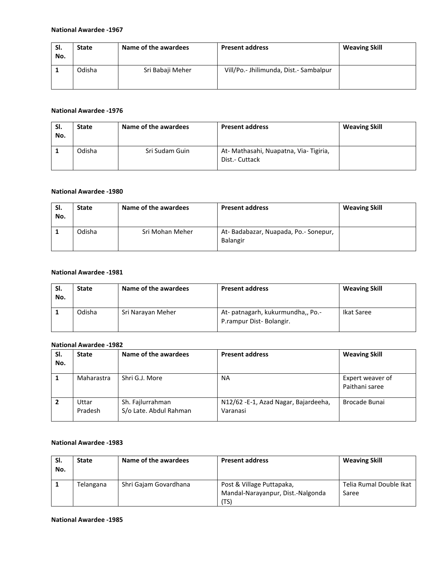#### **National Awardee -1967**

| SI.<br>No. | <b>State</b> | Name of the awardees | <b>Present address</b>                 | <b>Weaving Skill</b> |
|------------|--------------|----------------------|----------------------------------------|----------------------|
|            | Odisha       | Sri Babaji Meher     | Vill/Po.- Jhilimunda, Dist.- Sambalpur |                      |

#### **National Awardee -1976**

| SI.<br>No. | <b>State</b> | Name of the awardees | <b>Present address</b>                                   | <b>Weaving Skill</b> |
|------------|--------------|----------------------|----------------------------------------------------------|----------------------|
|            | Odisha       | Sri Sudam Guin       | At- Mathasahi, Nuapatna, Via- Tigiria,<br>Dist.- Cuttack |                      |

## **National Awardee -1980**

| SI.<br>No. | <b>State</b> | Name of the awardees | <b>Present address</b>                                 | <b>Weaving Skill</b> |
|------------|--------------|----------------------|--------------------------------------------------------|----------------------|
|            | Odisha       | Sri Mohan Meher      | At-Badabazar, Nuapada, Po.-Sonepur,<br><b>Balangir</b> |                      |

## **National Awardee -1981**

| SI.<br>No. | <b>State</b> | Name of the awardees | <b>Present address</b>                                       | <b>Weaving Skill</b> |
|------------|--------------|----------------------|--------------------------------------------------------------|----------------------|
|            | Odisha       | Sri Narayan Meher    | At- patnagarh, kukurmundha,, Po.-<br>P.rampur Dist-Bolangir. | Ikat Saree           |

#### **National Awardee -1982**

| SI.<br>No. | <b>State</b>     | Name of the awardees                       | <b>Present address</b>                           | <b>Weaving Skill</b>               |
|------------|------------------|--------------------------------------------|--------------------------------------------------|------------------------------------|
|            | Maharastra       | Shri G.J. More                             | <b>NA</b>                                        | Expert weaver of<br>Paithani saree |
|            | Uttar<br>Pradesh | Sh. Fajlurrahman<br>S/o Late. Abdul Rahman | N12/62 -E-1, Azad Nagar, Bajardeeha,<br>Varanasi | Brocade Bunai                      |

#### **National Awardee -1983**

| SI.<br>No. | <b>State</b> | Name of the awardees  | <b>Present address</b>                                                 | <b>Weaving Skill</b>             |
|------------|--------------|-----------------------|------------------------------------------------------------------------|----------------------------------|
|            | Telangana    | Shri Gajam Govardhana | Post & Village Puttapaka,<br>Mandal-Narayanpur, Dist.-Nalgonda<br>(TS) | Telia Rumal Double Ikat<br>Saree |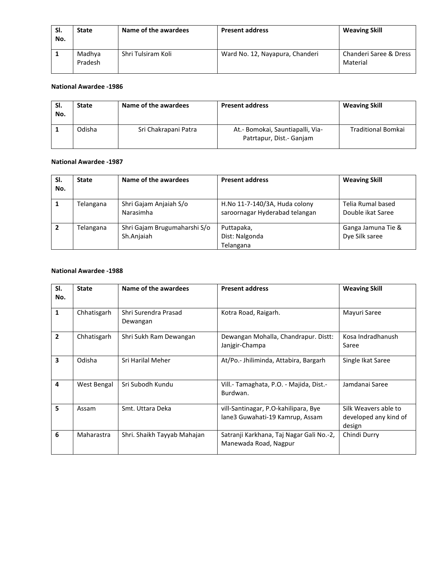| SI.<br>No. | <b>State</b>      | Name of the awardees | <b>Present address</b>          | <b>Weaving Skill</b>               |
|------------|-------------------|----------------------|---------------------------------|------------------------------------|
|            | Madhya<br>Pradesh | Shri Tulsiram Koli   | Ward No. 12, Nayapura, Chanderi | Chanderi Saree & Dress<br>Material |

## **National Awardee -1986**

| -SI.<br>No. | <b>State</b> | Name of the awardees | <b>Present address</b>                                       | <b>Weaving Skill</b>      |
|-------------|--------------|----------------------|--------------------------------------------------------------|---------------------------|
|             | Odisha       | Sri Chakrapani Patra | At.- Bomokai, Sauntiapalli, Via-<br>Patrtapur, Dist.- Ganjam | <b>Traditional Bomkai</b> |

#### **National Awardee -1987**

| SI.<br>No. | <b>State</b> | Name of the awardees                       | <b>Present address</b>                                          | <b>Weaving Skill</b>                   |
|------------|--------------|--------------------------------------------|-----------------------------------------------------------------|----------------------------------------|
|            | Telangana    | Shri Gajam Anjaiah S/o<br>Narasimha        | H.No 11-7-140/3A, Huda colony<br>saroornagar Hyderabad telangan | Telia Rumal based<br>Double ikat Saree |
|            | Telangana    | Shri Gajam Brugumaharshi S/o<br>Sh.Anjaiah | Puttapaka,<br>Dist: Nalgonda<br>Telangana                       | Ganga Jamuna Tie &<br>Dye Silk saree   |

# **National Awardee -1988**

| SI.<br>No.     | <b>State</b> | Name of the awardees             | <b>Present address</b>                                                  | <b>Weaving Skill</b>                                    |
|----------------|--------------|----------------------------------|-------------------------------------------------------------------------|---------------------------------------------------------|
| 1              | Chhatisgarh  | Shri Surendra Prasad<br>Dewangan | Kotra Road, Raigarh.                                                    | Mayuri Saree                                            |
| $\overline{2}$ | Chhatisgarh  | Shri Sukh Ram Dewangan           | Dewangan Mohalla, Chandrapur. Distt:<br>Janjgir-Champa                  | Kosa Indradhanush<br>Saree                              |
| 3              | Odisha       | Sri Harilal Meher                | At/Po.- Jhiliminda, Attabira, Bargarh                                   | Single Ikat Saree                                       |
| 4              | West Bengal  | Sri Subodh Kundu                 | Vill.- Tamaghata, P.O. - Majida, Dist.-<br>Burdwan.                     | Jamdanai Saree                                          |
| 5              | Assam        | Smt. Uttara Deka                 | vill-Santinagar, P.O-kahilipara, Bye<br>lane3 Guwahati-19 Kamrup, Assam | Silk Weavers able to<br>developed any kind of<br>design |
| 6              | Maharastra   | Shri. Shaikh Tayyab Mahajan      | Satranji Karkhana, Taj Nagar Gali No.-2,<br>Manewada Road, Nagpur       | Chindi Durry                                            |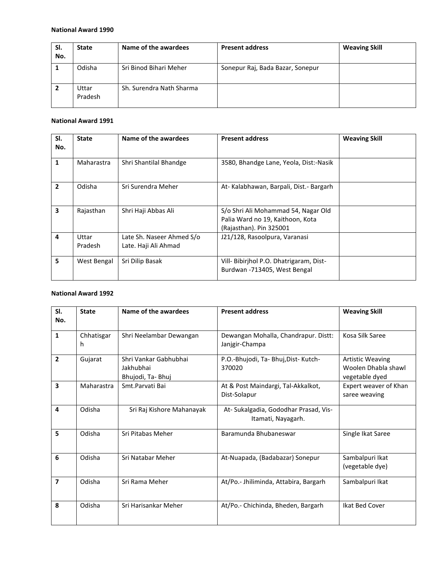| SI.<br>No. | <b>State</b>     | Name of the awardees     | <b>Present address</b>           | <b>Weaving Skill</b> |
|------------|------------------|--------------------------|----------------------------------|----------------------|
|            | Odisha           | Sri Binod Bihari Meher   | Sonepur Raj, Bada Bazar, Sonepur |                      |
|            | Uttar<br>Pradesh | Sh. Surendra Nath Sharma |                                  |                      |

### **National Award 1991**

| SI.<br>No.     | <b>State</b>     | Name of the awardees                              | <b>Present address</b>                                                                             | <b>Weaving Skill</b> |
|----------------|------------------|---------------------------------------------------|----------------------------------------------------------------------------------------------------|----------------------|
| 1              | Maharastra       | Shri Shantilal Bhandge                            | 3580, Bhandge Lane, Yeola, Dist:-Nasik                                                             |                      |
| $\overline{2}$ | Odisha           | Sri Surendra Meher                                | At-Kalabhawan, Barpali, Dist.-Bargarh                                                              |                      |
| 3              | Rajasthan        | Shri Haji Abbas Ali                               | S/o Shri Ali Mohammad 54, Nagar Old<br>Palia Ward no 19, Kaithoon, Kota<br>(Rajasthan). Pin 325001 |                      |
| 4              | Uttar<br>Pradesh | Late Sh. Naseer Ahmed S/o<br>Late. Haji Ali Ahmad | J21/128, Rasoolpura, Varanasi                                                                      |                      |
| 5              | West Bengal      | Sri Dilip Basak                                   | Vill- Bibirjhol P.O. Dhatrigaram, Dist-<br>Burdwan -713405, West Bengal                            |                      |

| SI.<br>No.              | <b>State</b>     | Name of the awardees                                   | <b>Present address</b>                                      | <b>Weaving Skill</b>                                             |
|-------------------------|------------------|--------------------------------------------------------|-------------------------------------------------------------|------------------------------------------------------------------|
| $\mathbf{1}$            | Chhatisgar<br>h. | Shri Neelambar Dewangan                                | Dewangan Mohalla, Chandrapur. Distt:<br>Janjgir-Champa      | Kosa Silk Saree                                                  |
| $\overline{2}$          | Gujarat          | Shri Vankar Gabhubhai<br>Jakhubhai<br>Bhujodi, Ta-Bhuj | P.O.-Bhujodi, Ta- Bhuj, Dist- Kutch-<br>370020              | <b>Artistic Weaving</b><br>Woolen Dhabla shawl<br>vegetable dyed |
| 3                       | Maharastra       | Smt.Parvati Bai                                        | At & Post Maindargi, Tal-Akkalkot,<br>Dist-Solapur          | Expert weaver of Khan<br>saree weaving                           |
| 4                       | Odisha           | Sri Raj Kishore Mahanayak                              | At- Sukalgadia, Gododhar Prasad, Vis-<br>Itamati, Nayagarh. |                                                                  |
| 5                       | Odisha           | Sri Pitabas Meher                                      | Baramunda Bhubaneswar                                       | Single Ikat Saree                                                |
| 6                       | Odisha           | Sri Natabar Meher                                      | At-Nuapada, (Badabazar) Sonepur                             | Sambalpuri Ikat<br>(vegetable dye)                               |
| $\overline{\mathbf{z}}$ | Odisha           | Sri Rama Meher                                         | At/Po.- Jhiliminda, Attabira, Bargarh                       | Sambalpuri Ikat                                                  |
| 8                       | Odisha           | Sri Harisankar Meher                                   | At/Po.- Chichinda, Bheden, Bargarh                          | Ikat Bed Cover                                                   |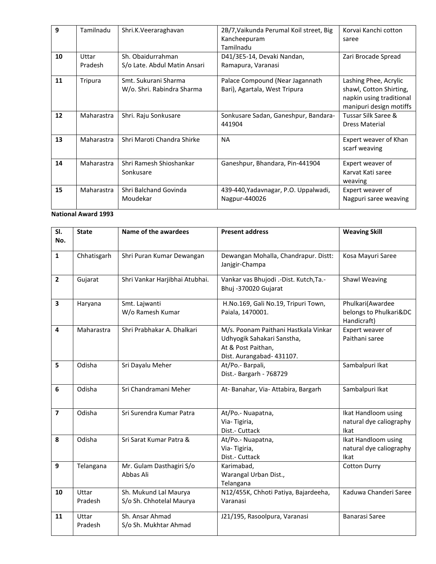| 9  | Tamilnadu        | Shri.K.Veeraraghavan                               | 2B/7, Vaikunda Perumal Koil street, Big<br>Kancheepuram<br>Tamilnadu | Korvai Kanchi cotton<br>saree                                                                           |
|----|------------------|----------------------------------------------------|----------------------------------------------------------------------|---------------------------------------------------------------------------------------------------------|
| 10 | Uttar<br>Pradesh | Sh. Obaidurrahman<br>S/o Late. Abdul Matin Ansari  | D41/3E5-14, Devaki Nandan,<br>Ramapura, Varanasi                     | Zari Brocade Spread                                                                                     |
| 11 | Tripura          | Smt. Sukurani Sharma<br>W/o. Shri. Rabindra Sharma | Palace Compound (Near Jagannath<br>Bari), Agartala, West Tripura     | Lashing Phee, Acrylic<br>shawl, Cotton Shirting,<br>napkin using traditional<br>manipuri design motiffs |
| 12 | Maharastra       | Shri. Raju Sonkusare                               | Sonkusare Sadan, Ganeshpur, Bandara-<br>441904                       | Tussar Silk Saree &<br><b>Dress Material</b>                                                            |
| 13 | Maharastra       | Shri Maroti Chandra Shirke                         | <b>NA</b>                                                            | Expert weaver of Khan<br>scarf weaving                                                                  |
| 14 | Maharastra       | Shri Ramesh Shioshankar<br>Sonkusare               | Ganeshpur, Bhandara, Pin-441904                                      | Expert weaver of<br>Karvat Kati saree<br>weaving                                                        |
| 15 | Maharastra       | Shri Balchand Govinda<br>Moudekar                  | 439-440, Yadavnagar, P.O. Uppalwadi,<br>Nagpur-440026                | Expert weaver of<br>Nagpuri saree weaving                                                               |

| SI.<br>No.              | <b>State</b>     | Name of the awardees                              | <b>Present address</b>                                                                                                | <b>Weaving Skill</b>                                      |
|-------------------------|------------------|---------------------------------------------------|-----------------------------------------------------------------------------------------------------------------------|-----------------------------------------------------------|
|                         |                  |                                                   |                                                                                                                       |                                                           |
| $\mathbf{1}$            | Chhatisgarh      | Shri Puran Kumar Dewangan                         | Dewangan Mohalla, Chandrapur. Distt:<br>Janjgir-Champa                                                                | Kosa Mayuri Saree                                         |
| $\overline{\mathbf{2}}$ | Gujarat          | Shri Vankar Harjibhai Atubhai.                    | Vankar vas Bhujodi .- Dist. Kutch, Ta.-<br>Bhuj -370020 Gujarat                                                       | Shawl Weaving                                             |
| $\overline{\mathbf{3}}$ | Haryana          | Smt. Lajwanti<br>W/o Ramesh Kumar                 | H.No.169, Gali No.19, Tripuri Town,<br>Paiala, 1470001.                                                               | Phulkari(Awardee<br>belongs to Phulkari&DC<br>Handicraft) |
| 4                       | Maharastra       | Shri Prabhakar A. Dhalkari                        | M/s. Poonam Paithani Hastkala Vinkar<br>Udhyogik Sahakari Sanstha,<br>At & Post Paithan,<br>Dist. Aurangabad- 431107. | Expert weaver of<br>Paithani saree                        |
| 5                       | Odisha           | Sri Dayalu Meher                                  | At/Po.- Barpali,<br>Dist.- Bargarh - 768729                                                                           | Sambalpuri Ikat                                           |
| 6                       | Odisha           | Sri Chandramani Meher                             | At- Banahar, Via- Attabira, Bargarh                                                                                   | Sambalpuri Ikat                                           |
| $\overline{\mathbf{z}}$ | Odisha           | Sri Surendra Kumar Patra                          | At/Po.- Nuapatna,<br>Via-Tigiria,<br>Dist.- Cuttack                                                                   | Ikat Handloom using<br>natural dye caliography<br>Ikat    |
| 8                       | Odisha           | Sri Sarat Kumar Patra &                           | At/Po.- Nuapatna,<br>Via-Tigiria,<br>Dist.- Cuttack                                                                   | Ikat Handloom using<br>natural dye caliography<br>Ikat    |
| 9                       | Telangana        | Mr. Gulam Dasthagiri S/o<br>Abbas Ali             | Karimabad,<br>Warangal Urban Dist.,<br>Telangana                                                                      | <b>Cotton Durry</b>                                       |
| 10                      | Uttar<br>Pradesh | Sh. Mukund Lal Maurya<br>S/o Sh. Chhotelal Maurya | N12/455K, Chhoti Patiya, Bajardeeha,<br>Varanasi                                                                      | Kaduwa Chanderi Saree                                     |
| 11                      | Uttar<br>Pradesh | Sh. Ansar Ahmad<br>S/o Sh. Mukhtar Ahmad          | J21/195, Rasoolpura, Varanasi                                                                                         | Banarasi Saree                                            |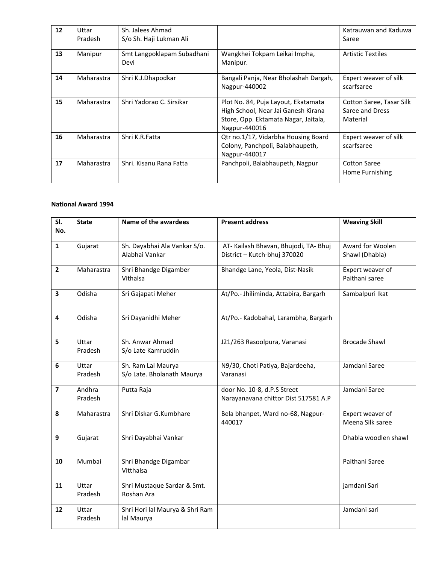| 12 | Uttar<br>Pradesh | Sh. Jalees Ahmad<br>S/o Sh. Haji Lukman Ali |                                                                                                                                     | Katrauwan and Kaduwa<br>Saree                           |
|----|------------------|---------------------------------------------|-------------------------------------------------------------------------------------------------------------------------------------|---------------------------------------------------------|
| 13 | Manipur          | Smt Langpoklapam Subadhani<br>Devi          | Wangkhei Tokpam Leikai Impha,<br>Manipur.                                                                                           | <b>Artistic Textiles</b>                                |
| 14 | Maharastra       | Shri K.J.Dhapodkar                          | Bangali Panja, Near Bholashah Dargah,<br>Nagpur-440002                                                                              | Expert weaver of silk<br>scarfsaree                     |
| 15 | Maharastra       | Shri Yadorao C. Sirsikar                    | Plot No. 84, Puja Layout, Ekatamata<br>High School, Near Jai Ganesh Kirana<br>Store, Opp. Ektamata Nagar, Jaitala,<br>Nagpur-440016 | Cotton Saree, Tasar Silk<br>Saree and Dress<br>Material |
| 16 | Maharastra       | Shri K.R.Fatta                              | Qtr no.1/17, Vidarbha Housing Board<br>Colony, Panchpoli, Balabhaupeth,<br>Nagpur-440017                                            | Expert weaver of silk<br>scarfsaree                     |
| 17 | Maharastra       | Shri. Kisanu Rana Fatta                     | Panchpoli, Balabhaupeth, Nagpur                                                                                                     | <b>Cotton Saree</b><br>Home Furnishing                  |

| SI.<br>No.              | <b>State</b>      | Name of the awardees                             | <b>Present address</b>                                                | <b>Weaving Skill</b>                 |
|-------------------------|-------------------|--------------------------------------------------|-----------------------------------------------------------------------|--------------------------------------|
| $\mathbf{1}$            | Gujarat           | Sh. Dayabhai Ala Vankar S/o.<br>Alabhai Vankar   | AT- Kailash Bhavan, Bhujodi, TA- Bhuj<br>District - Kutch-bhuj 370020 | Award for Woolen<br>Shawl (Dhabla)   |
| $\overline{2}$          | Maharastra        | Shri Bhandge Digamber<br>Vithalsa                | Bhandge Lane, Yeola, Dist-Nasik                                       | Expert weaver of<br>Paithani saree   |
| $\overline{\mathbf{3}}$ | Odisha            | Sri Gajapati Meher                               | At/Po.- Jhiliminda, Attabira, Bargarh                                 | Sambalpuri Ikat                      |
| 4                       | Odisha            | Sri Dayanidhi Meher                              | At/Po.- Kadobahal, Larambha, Bargarh                                  |                                      |
| 5                       | Uttar<br>Pradesh  | Sh. Anwar Ahmad<br>S/o Late Kamruddin            | J21/263 Rasoolpura, Varanasi                                          | <b>Brocade Shawl</b>                 |
| 6                       | Uttar<br>Pradesh  | Sh. Ram Lal Maurya<br>S/o Late. Bholanath Maurya | N9/30, Choti Patiya, Bajardeeha,<br>Varanasi                          | Jamdani Saree                        |
| $\overline{\mathbf{z}}$ | Andhra<br>Pradesh | Putta Raja                                       | door No. 10-8, d.P.S Street<br>Narayanavana chittor Dist 517581 A.P   | Jamdani Saree                        |
| 8                       | Maharastra        | Shri Diskar G.Kumbhare                           | Bela bhanpet, Ward no-68, Nagpur-<br>440017                           | Expert weaver of<br>Meena Silk saree |
| 9                       | Gujarat           | Shri Dayabhai Vankar                             |                                                                       | Dhabla woodlen shawl                 |
| 10                      | Mumbai            | Shri Bhandge Digambar<br>Vitthalsa               |                                                                       | Paithani Saree                       |
| 11                      | Uttar<br>Pradesh  | Shri Mustaque Sardar & Smt.<br>Roshan Ara        |                                                                       | jamdani Sari                         |
| 12                      | Uttar<br>Pradesh  | Shri Hori lal Maurya & Shri Ram<br>lal Maurya    |                                                                       | Jamdani sari                         |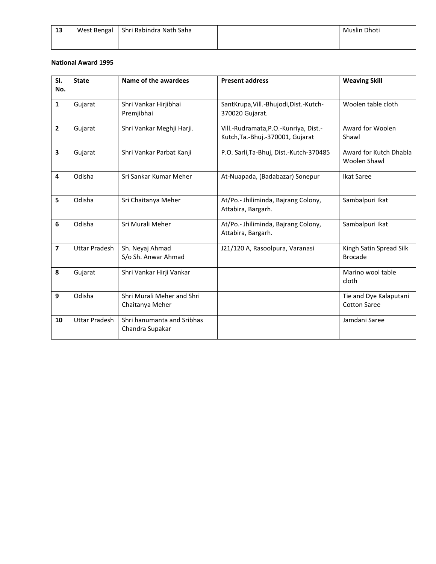| -13 | West Bengal | Shri Rabindra Nath Saha | Muslin Dhoti |
|-----|-------------|-------------------------|--------------|
|     |             |                         |              |

| SI.<br>No.     | <b>State</b>         | Name of the awardees                          | <b>Present address</b>                                                    | <b>Weaving Skill</b>                          |
|----------------|----------------------|-----------------------------------------------|---------------------------------------------------------------------------|-----------------------------------------------|
| $\mathbf{1}$   | Gujarat              | Shri Vankar Hirjibhai<br>Premjibhai           | SantKrupa, Vill.-Bhujodi, Dist.-Kutch-<br>370020 Gujarat.                 | Woolen table cloth                            |
| $\overline{2}$ | Gujarat              | Shri Vankar Meghji Harji.                     | Vill.-Rudramata, P.O.-Kunriya, Dist.-<br>Kutch, Ta.-Bhuj.-370001, Gujarat | Award for Woolen<br>Shawl                     |
| 3              | Gujarat              | Shri Vankar Parbat Kanji                      | P.O. Sarli, Ta-Bhuj, Dist.-Kutch-370485                                   | Award for Kutch Dhabla<br><b>Woolen Shawl</b> |
| 4              | Odisha               | Sri Sankar Kumar Meher                        | At-Nuapada, (Badabazar) Sonepur                                           | <b>Ikat Saree</b>                             |
| 5              | Odisha               | Sri Chaitanya Meher                           | At/Po.- Jhiliminda, Bajrang Colony,<br>Attabira, Bargarh.                 | Sambalpuri Ikat                               |
| 6              | Odisha               | Sri Murali Meher                              | At/Po.- Jhiliminda, Bajrang Colony,<br>Attabira, Bargarh.                 | Sambalpuri Ikat                               |
| 7              | <b>Uttar Pradesh</b> | Sh. Neyaj Ahmad<br>S/o Sh. Anwar Ahmad        | J21/120 A, Rasoolpura, Varanasi                                           | Kingh Satin Spread Silk<br><b>Brocade</b>     |
| 8              | Gujarat              | Shri Vankar Hirji Vankar                      |                                                                           | Marino wool table<br>cloth                    |
| 9              | Odisha               | Shri Murali Meher and Shri<br>Chaitanya Meher |                                                                           | Tie and Dye Kalaputani<br><b>Cotton Saree</b> |
| 10             | <b>Uttar Pradesh</b> | Shri hanumanta and Sribhas<br>Chandra Supakar |                                                                           | Jamdani Saree                                 |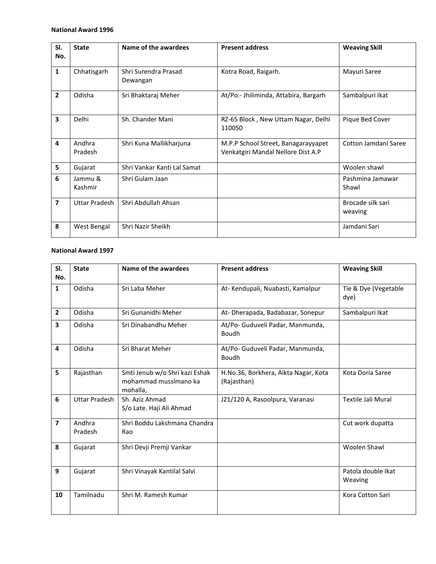| SI.            | <b>State</b>       | Name of the awardees             | <b>Present address</b>                                                    | <b>Weaving Skill</b>         |
|----------------|--------------------|----------------------------------|---------------------------------------------------------------------------|------------------------------|
| No.            |                    |                                  |                                                                           |                              |
| $\mathbf{1}$   | Chhatisgarh        | Shri Surendra Prasad<br>Dewangan | Kotra Road, Raigarh.                                                      | Mayuri Saree                 |
| $\overline{2}$ | Odisha             | Sri Bhaktaraj Meher              | At/Po.- Jhiliminda, Attabira, Bargarh                                     | Sambalpuri Ikat              |
| 3              | Delhi              | Sh. Chander Mani                 | RZ-65 Block, New Uttam Nagar, Delhi<br>110050                             | Pique Bed Cover              |
| 4              | Andhra<br>Pradesh  | Shri Kuna Mallikharjuna          | M.P.P School Street, Banagarayyapet<br>Venkatgiri Mandal Nellore Dist A.P | Cotton Jamdani Saree         |
| 5              | Gujarat            | Shri Vankar Kanti Lal Samat      |                                                                           | Woolen shawl                 |
| 6              | Jammu &<br>Kashmir | Shri Gulam Jaan                  |                                                                           | Pashmina Jamawar<br>Shawl    |
| 7              | Uttar Pradesh      | Shri Abdullah Ahsan              |                                                                           | Brocade silk sari<br>weaving |
| 8              | West Bengal        | Shri Nazir Sheikh                |                                                                           | Jamdani Sari                 |

| SI.                     | <b>State</b>         | Name of the awardees                                                | <b>Present address</b>                              | <b>Weaving Skill</b>          |
|-------------------------|----------------------|---------------------------------------------------------------------|-----------------------------------------------------|-------------------------------|
| No.                     |                      |                                                                     |                                                     |                               |
| $\mathbf{1}$            | Odisha               | Sri Laba Meher                                                      | At-Kendupali, Nuabasti, Kamalpur                    | Tie & Dye (Vegetable<br>dye)  |
| $\overline{2}$          | Odisha               | Sri Gunanidhi Meher                                                 | At- Dherapada, Badabazar, Sonepur                   | Sambalpuri Ikat               |
| 3                       | Odisha               | Sri Dinabandhu Meher                                                | At/Po- Guduveli Padar, Manmunda,<br>Boudh           |                               |
| 4                       | Odisha               | Sri Bharat Meher                                                    | At/Po- Guduveli Padar, Manmunda,<br>Boudh           |                               |
| 5                       | Rajasthan            | Smti Jenub w/o Shri kazi Eshak<br>mohammad musslmano ka<br>mohalla, | H.No.36, Borkhera, Aikta Nagar, Kota<br>(Rajasthan) | Kota Doria Saree              |
| 6                       | <b>Uttar Pradesh</b> | Sh. Aziz Ahmad<br>S/o Late. Haji Ali Ahmad                          | J21/120 A, Rasoolpura, Varanasi                     | Textile Jali Mural            |
| $\overline{\mathbf{z}}$ | Andhra<br>Pradesh    | Shri Boddu Lakshmana Chandra<br>Rao                                 |                                                     | Cut work dupatta              |
| 8                       | Gujarat              | Shri Devji Premji Vankar                                            |                                                     | Woolen Shawl                  |
| 9                       | Gujarat              | Shri Vinayak Kantilal Salvi                                         |                                                     | Patola double Ikat<br>Weaving |
| 10                      | Tamilnadu            | Shri M. Ramesh Kumar                                                |                                                     | Kora Cotton Sari              |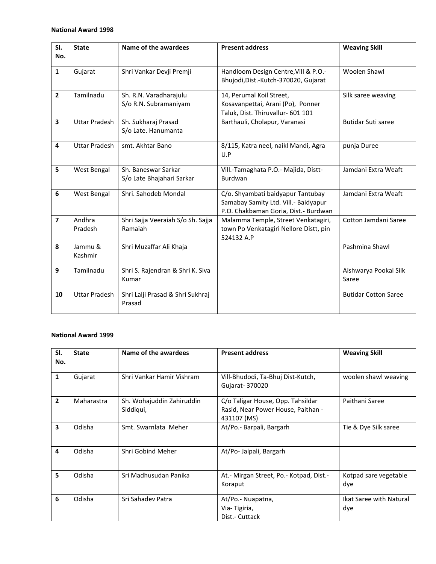| SI.                     | <b>State</b>         | Name of the awardees                       | <b>Present address</b>                                                       | <b>Weaving Skill</b>        |
|-------------------------|----------------------|--------------------------------------------|------------------------------------------------------------------------------|-----------------------------|
| No.                     |                      |                                            |                                                                              |                             |
| $\mathbf{1}$            | Gujarat              | Shri Vankar Devji Premji                   | Handloom Design Centre, Vill & P.O.-                                         | Woolen Shawl                |
|                         |                      |                                            | Bhujodi, Dist.-Kutch-370020, Gujarat                                         |                             |
| $\overline{2}$          | Tamilnadu            | Sh. R.N. Varadharajulu                     | 14, Perumal Koil Street,                                                     | Silk saree weaving          |
|                         |                      | S/o R.N. Subramaniyam                      | Kosavanpettai, Arani (Po), Ponner<br>Taluk, Dist. Thiruvallur- 601 101       |                             |
| 3                       | <b>Uttar Pradesh</b> | Sh. Sukharaj Prasad<br>S/o Late. Hanumanta | Barthauli, Cholapur, Varanasi                                                | Butidar Suti saree          |
|                         |                      |                                            |                                                                              |                             |
| 4                       | <b>Uttar Pradesh</b> | smt. Akhtar Bano                           | 8/115, Katra neel, naikl Mandi, Agra<br>U.P                                  | punja Duree                 |
| 5                       | West Bengal          | Sh. Baneswar Sarkar                        | Vill.-Tamaghata P.O.- Majida, Distt-                                         | Jamdani Extra Weaft         |
|                         |                      | S/o Late Bhajahari Sarkar                  | Burdwan                                                                      |                             |
| 6                       | West Bengal          | Shri. Sahodeb Mondal                       | C/o. Shyambati baidyapur Tantubay                                            | Jamdani Extra Weaft         |
|                         |                      |                                            | Samabay Samity Ltd. Vill.- Baidyapur<br>P.O. Chakbaman Goria, Dist.- Burdwan |                             |
| $\overline{\mathbf{z}}$ | Andhra               | Shri Sajja Veeraiah S/o Sh. Sajja          | Malamma Temple, Street Venkatagiri,                                          | Cotton Jamdani Saree        |
|                         | Pradesh              | Ramaiah                                    | town Po Venkatagiri Nellore Distt, pin                                       |                             |
| 8                       | Jammu &              | Shri Muzaffar Ali Khaja                    | 524132 A.P                                                                   | Pashmina Shawl              |
|                         | Kashmir              |                                            |                                                                              |                             |
| 9                       | Tamilnadu            | Shri S. Rajendran & Shri K. Siva           |                                                                              | Aishwarya Pookal Silk       |
|                         |                      | Kumar                                      |                                                                              | Saree                       |
| 10                      | <b>Uttar Pradesh</b> | Shri Lalji Prasad & Shri Sukhraj           |                                                                              | <b>Butidar Cotton Saree</b> |
|                         |                      | Prasad                                     |                                                                              |                             |

| SI.<br>No.              | <b>State</b> | Name of the awardees                   | <b>Present address</b>                                                                 | <b>Weaving Skill</b>           |
|-------------------------|--------------|----------------------------------------|----------------------------------------------------------------------------------------|--------------------------------|
| 1                       | Gujarat      | Shri Vankar Hamir Vishram              | Vill-Bhudodi, Ta-Bhuj Dist-Kutch,<br>Gujarat- 370020                                   | woolen shawl weaving           |
| $\overline{2}$          | Maharastra   | Sh. Wohajuddin Zahiruddin<br>Siddigui, | C/o Taligar House, Opp. Tahsildar<br>Rasid, Near Power House, Paithan -<br>431107 (MS) | Paithani Saree                 |
| $\overline{\mathbf{3}}$ | Odisha       | Smt. Swarnlata Meher                   | At/Po.- Barpali, Bargarh                                                               | Tie & Dye Silk saree           |
| 4                       | Odisha       | Shri Gobind Meher                      | At/Po-Jalpali, Bargarh                                                                 |                                |
| 5                       | Odisha       | Sri Madhusudan Panika                  | At.- Mirgan Street, Po.- Kotpad, Dist.-<br>Koraput                                     | Kotpad sare vegetable<br>dye   |
| 6                       | Odisha       | Sri Sahadev Patra                      | At/Po.- Nuapatna,<br>Via-Tigiria,<br>Dist.- Cuttack                                    | Ikat Saree with Natural<br>dye |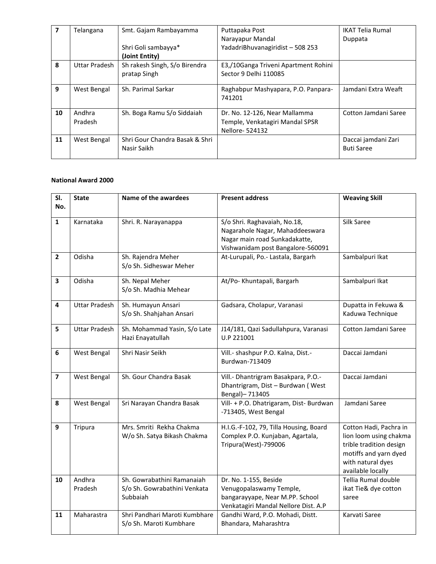|    | Telangana     | Smt. Gajam Rambayamma          | Puttapaka Post                       | <b>IKAT Telia Rumal</b> |
|----|---------------|--------------------------------|--------------------------------------|-------------------------|
|    |               |                                | Narayapur Mandal                     | Duppata                 |
|    |               | Shri Goli sambayya*            | YadadriBhuvanagiridist - 508 253     |                         |
|    |               | (Joint Entity)                 |                                      |                         |
| 8  | Uttar Pradesh | Sh rakesh Singh, S/o Birendra  | E3,/10Ganga Triveni Apartment Rohini |                         |
|    |               | pratap Singh                   | Sector 9 Delhi 110085                |                         |
|    |               |                                |                                      |                         |
| 9  | West Bengal   | Sh. Parimal Sarkar             | Raghabpur Mashyapara, P.O. Panpara-  | Jamdani Extra Weaft     |
|    |               |                                | 741201                               |                         |
| 10 | Andhra        | Sh. Boga Ramu S/o Siddaiah     | Dr. No. 12-126, Near Mallamma        | Cotton Jamdani Saree    |
|    | Pradesh       |                                | Temple, Venkatagiri Mandal SPSR      |                         |
|    |               |                                | Nellore- 524132                      |                         |
| 11 | West Bengal   | Shri Gour Chandra Basak & Shri |                                      | Daccai jamdani Zari     |
|    |               | Nasir Saikh                    |                                      | <b>Buti Saree</b>       |
|    |               |                                |                                      |                         |

| SI.                     | <b>State</b>         | Name of the awardees                                                   | <b>Present address</b>                                                                                                                | <b>Weaving Skill</b>                                                                                                                           |
|-------------------------|----------------------|------------------------------------------------------------------------|---------------------------------------------------------------------------------------------------------------------------------------|------------------------------------------------------------------------------------------------------------------------------------------------|
| No.                     |                      |                                                                        |                                                                                                                                       |                                                                                                                                                |
| $\mathbf{1}$            | Karnataka            | Shri. R. Narayanappa                                                   | S/o Shri. Raghavaiah, No.18,<br>Nagarahole Nagar, Mahaddeeswara<br>Nagar main road Sunkadakatte,<br>Vishwanidam post Bangalore-560091 | Silk Saree                                                                                                                                     |
| $\overline{2}$          | Odisha               | Sh. Rajendra Meher<br>S/o Sh. Sidheswar Meher                          | At-Lurupali, Po.- Lastala, Bargarh                                                                                                    | Sambalpuri Ikat                                                                                                                                |
| 3                       | Odisha               | Sh. Nepal Meher<br>S/o Sh. Madhia Mehear                               | At/Po-Khuntapali, Bargarh                                                                                                             | Sambalpuri Ikat                                                                                                                                |
| 4                       | <b>Uttar Pradesh</b> | Sh. Humayun Ansari<br>S/o Sh. Shahjahan Ansari                         | Gadsara, Cholapur, Varanasi                                                                                                           | Dupatta in Fekuwa &<br>Kaduwa Technique                                                                                                        |
| 5                       | <b>Uttar Pradesh</b> | Sh. Mohammad Yasin, S/o Late<br>Hazi Enayatullah                       | J14/181, Qazi Sadullahpura, Varanasi<br>U.P 221001                                                                                    | Cotton Jamdani Saree                                                                                                                           |
| 6                       | West Bengal          | Shri Nasir Seikh                                                       | Vill.- shashpur P.O. Kalna, Dist.-<br>Burdwan-713409                                                                                  | Daccai Jamdani                                                                                                                                 |
| $\overline{\mathbf{z}}$ | <b>West Bengal</b>   | Sh. Gour Chandra Basak                                                 | Vill.- Dhantrigram Basakpara, P.O.-<br>Dhantrigram, Dist - Burdwan (West<br>Bengal)-713405                                            | Daccai Jamdani                                                                                                                                 |
| 8                       | West Bengal          | Sri Narayan Chandra Basak                                              | Vill- + P.O. Dhatrigaram, Dist- Burdwan<br>-713405, West Bengal                                                                       | Jamdani Saree                                                                                                                                  |
| 9                       | Tripura              | Mrs. Smriti Rekha Chakma<br>W/o Sh. Satya Bikash Chakma                | H.I.G.-F-102, 79, Tilla Housing, Board<br>Complex P.O. Kunjaban, Agartala,<br>Tripura(West)-799006                                    | Cotton Hadi, Pachra in<br>lion loom using chakma<br>trible tradition design<br>motiffs and yarn dyed<br>with natural dyes<br>available locally |
| 10                      | Andhra<br>Pradesh    | Sh. Gowrabathini Ramanaiah<br>S/o Sh. Gowrabathini Venkata<br>Subbaiah | Dr. No. 1-155, Beside<br>Venugopalaswamy Temple,<br>bangarayyape, Near M.PP. School<br>Venkatagiri Mandal Nellore Dist. A.P           | Tellia Rumal double<br>ikat Tie& dye cotton<br>saree                                                                                           |
| 11                      | Maharastra           | Shri Pandhari Maroti Kumbhare<br>S/o Sh. Maroti Kumbhare               | Gandhi Ward, P.O. Mohadi, Distt.<br>Bhandara, Maharashtra                                                                             | Karvati Saree                                                                                                                                  |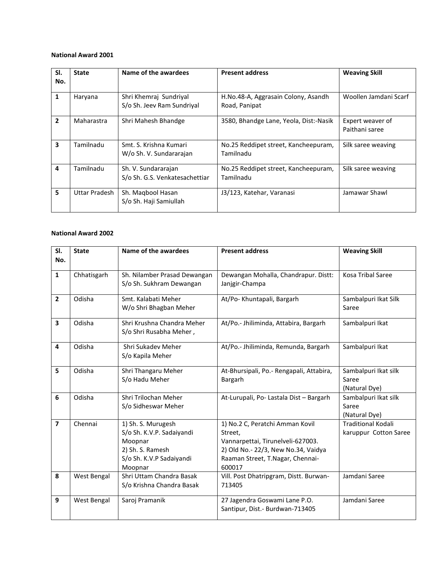| SI.<br>No.              | <b>State</b>  | Name of the awardees                                  | <b>Present address</b>                               | <b>Weaving Skill</b>               |
|-------------------------|---------------|-------------------------------------------------------|------------------------------------------------------|------------------------------------|
| 1                       | Haryana       | Shri Khemraj Sundriyal<br>S/o Sh. Jeev Ram Sundriyal  | H.No.48-A, Aggrasain Colony, Asandh<br>Road, Panipat | Woollen Jamdani Scarf              |
| $\overline{2}$          | Maharastra    | Shri Mahesh Bhandge                                   | 3580, Bhandge Lane, Yeola, Dist:-Nasik               | Expert weaver of<br>Paithani saree |
| $\overline{\mathbf{3}}$ | Tamilnadu     | Smt. S. Krishna Kumari<br>W/o Sh. V. Sundararajan     | No.25 Reddipet street, Kancheepuram,<br>Tamilnadu    | Silk saree weaving                 |
| 4                       | Tamilnadu     | Sh. V. Sundararajan<br>S/o Sh. G.S. Venkatesachettiar | No.25 Reddipet street, Kancheepuram,<br>Tamilnadu    | Silk saree weaving                 |
| 5                       | Uttar Pradesh | Sh. Maqbool Hasan<br>S/o Sh. Haji Samiullah           | J3/123, Katehar, Varanasi                            | Jamawar Shawl                      |

| SI.<br>No.     | <b>State</b> | Name of the awardees                                                                                                  | <b>Present address</b>                                                                                                                                               | <b>Weaving Skill</b>                               |
|----------------|--------------|-----------------------------------------------------------------------------------------------------------------------|----------------------------------------------------------------------------------------------------------------------------------------------------------------------|----------------------------------------------------|
| $\mathbf{1}$   | Chhatisgarh  | Sh. Nilamber Prasad Dewangan<br>S/o Sh. Sukhram Dewangan                                                              | Dewangan Mohalla, Chandrapur. Distt:<br>Janjgir-Champa                                                                                                               | Kosa Tribal Saree                                  |
| $\overline{2}$ | Odisha       | Smt. Kalabati Meher<br>W/o Shri Bhagban Meher                                                                         | At/Po-Khuntapali, Bargarh                                                                                                                                            | Sambalpuri Ikat Silk<br>Saree                      |
| 3              | Odisha       | Shri Krushna Chandra Meher<br>S/o Shri Rusabha Meher,                                                                 | At/Po.- Jhiliminda, Attabira, Bargarh                                                                                                                                | Sambalpuri Ikat                                    |
| 4              | Odisha       | Shri Sukadev Meher<br>S/o Kapila Meher                                                                                | At/Po.- Jhiliminda, Remunda, Bargarh                                                                                                                                 | Sambalpuri Ikat                                    |
| 5              | Odisha       | Shri Thangaru Meher<br>S/o Hadu Meher                                                                                 | At-Bhursipali, Po.- Rengapali, Attabira,<br>Bargarh                                                                                                                  | Sambalpuri Ikat silk<br>Saree<br>(Natural Dye)     |
| 6              | Odisha       | Shri Trilochan Meher<br>S/o Sidheswar Meher                                                                           | At-Lurupali, Po- Lastala Dist - Bargarh                                                                                                                              | Sambalpuri Ikat silk<br>Saree<br>(Natural Dye)     |
| $\overline{7}$ | Chennai      | 1) Sh. S. Murugesh<br>S/o Sh. K.V.P. Sadaiyandi<br>Moopnar<br>2) Sh. S. Ramesh<br>S/o Sh. K.V.P Sadaiyandi<br>Moopnar | 1) No.2 C, Peratchi Amman Kovil<br>Street,<br>Vannarpettai, Tirunelveli-627003.<br>2) Old No.- 22/3, New No.34, Vaidya<br>Raaman Street, T.Nagar, Chennai-<br>600017 | <b>Traditional Kodali</b><br>karuppur Cotton Saree |
| 8              | West Bengal  | Shri Uttam Chandra Basak<br>S/o Krishna Chandra Basak                                                                 | Vill. Post Dhatripgram, Distt. Burwan-<br>713405                                                                                                                     | Jamdani Saree                                      |
| 9              | West Bengal  | Saroj Pramanik                                                                                                        | 27 Jagendra Goswami Lane P.O.<br>Santipur, Dist.- Burdwan-713405                                                                                                     | Jamdani Saree                                      |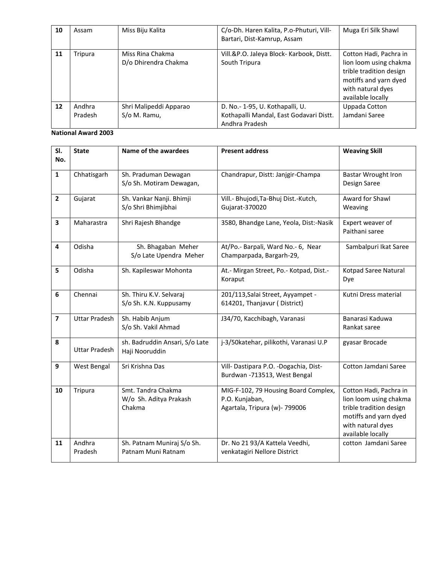| 10 | Assam             | Miss Biju Kalita                         | C/o-Dh. Haren Kalita, P.o-Phuturi, Vill-<br>Bartari, Dist-Kamrup, Assam                      | Muga Eri Silk Shawl                                                                                                                            |
|----|-------------------|------------------------------------------|----------------------------------------------------------------------------------------------|------------------------------------------------------------------------------------------------------------------------------------------------|
| 11 | Tripura           | Miss Rina Chakma<br>D/o Dhirendra Chakma | Vill.&P.O. Jaleya Block- Karbook, Distt.<br>South Tripura                                    | Cotton Hadi, Pachra in<br>lion loom using chakma<br>trible tradition design<br>motiffs and yarn dyed<br>with natural dyes<br>available locally |
| 12 | Andhra<br>Pradesh | Shri Malipeddi Apparao<br>S/o M. Ramu,   | D. No.- 1-95, U. Kothapalli, U.<br>Kothapalli Mandal, East Godavari Distt.<br>Andhra Pradesh | Uppada Cotton<br>Jamdani Saree                                                                                                                 |

| SI.<br>No.              | <b>State</b>         | Name of the awardees                                   | <b>Present address</b>                                                                  | <b>Weaving Skill</b>                                                                                                                           |
|-------------------------|----------------------|--------------------------------------------------------|-----------------------------------------------------------------------------------------|------------------------------------------------------------------------------------------------------------------------------------------------|
|                         |                      |                                                        |                                                                                         |                                                                                                                                                |
| $\mathbf{1}$            | Chhatisgarh          | Sh. Praduman Dewagan<br>S/o Sh. Motiram Dewagan,       | Chandrapur, Distt: Janjgir-Champa                                                       | <b>Bastar Wrought Iron</b><br>Design Saree                                                                                                     |
| $\overline{2}$          | Gujarat              | Sh. Vankar Nanji. Bhimji<br>S/o Shri Bhimjibhai        | Vill.- Bhujodi, Ta-Bhuj Dist.-Kutch,<br>Gujarat-370020                                  | Award for Shawl<br>Weaving                                                                                                                     |
| $\overline{\mathbf{3}}$ | Maharastra           | Shri Rajesh Bhandge                                    | 3580, Bhandge Lane, Yeola, Dist:-Nasik                                                  | Expert weaver of<br>Paithani saree                                                                                                             |
| $\overline{\mathbf{4}}$ | Odisha               | Sh. Bhagaban Meher<br>S/o Late Upendra Meher           | At/Po.- Barpali, Ward No.- 6, Near<br>Champarpada, Bargarh-29,                          | Sambalpuri Ikat Saree                                                                                                                          |
| 5                       | Odisha               | Sh. Kapileswar Mohonta                                 | At.- Mirgan Street, Po.- Kotpad, Dist.-<br>Koraput                                      | Kotpad Saree Natural<br>Dye                                                                                                                    |
| 6                       | Chennai              | Sh. Thiru K.V. Selvaraj<br>S/o Sh. K.N. Kuppusamy      | 201/113, Salai Street, Ayyampet -<br>614201, Thanjavur (District)                       | Kutni Dress material                                                                                                                           |
| $\overline{7}$          | <b>Uttar Pradesh</b> | Sh. Habib Anjum<br>S/o Sh. Vakil Ahmad                 | J34/70, Kacchibagh, Varanasi                                                            | Banarasi Kaduwa<br>Rankat saree                                                                                                                |
| 8                       | <b>Uttar Pradesh</b> | sh. Badruddin Ansari, S/o Late<br>Haji Nooruddin       | j-3/50katehar, pilikothi, Varanasi U.P                                                  | gyasar Brocade                                                                                                                                 |
| 9                       | West Bengal          | Sri Krishna Das                                        | Vill- Dastipara P.O. - Dogachia, Dist-<br>Burdwan -713513, West Bengal                  | Cotton Jamdani Saree                                                                                                                           |
| 10                      | Tripura              | Smt. Tandra Chakma<br>W/o Sh. Aditya Prakash<br>Chakma | MIG-F-102, 79 Housing Board Complex,<br>P.O. Kunjaban,<br>Agartala, Tripura (w)- 799006 | Cotton Hadi, Pachra in<br>lion loom using chakma<br>trible tradition design<br>motiffs and yarn dyed<br>with natural dyes<br>available locally |
| 11                      | Andhra<br>Pradesh    | Sh. Patnam Muniraj S/o Sh.<br>Patnam Muni Ratnam       | Dr. No 21 93/A Kattela Veedhi,<br>venkatagiri Nellore District                          | cotton Jamdani Saree                                                                                                                           |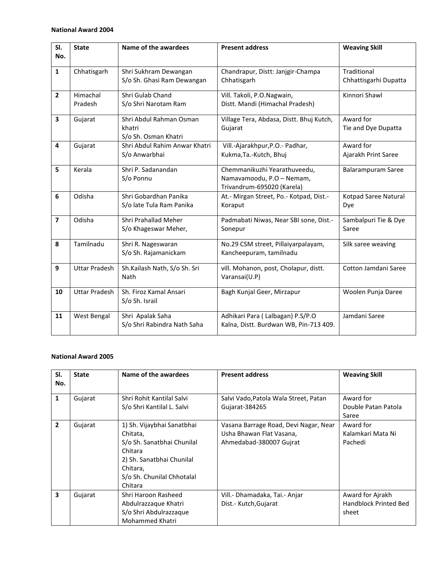| SI.                     | <b>State</b>         | Name of the awardees           | <b>Present address</b>                   | <b>Weaving Skill</b>      |
|-------------------------|----------------------|--------------------------------|------------------------------------------|---------------------------|
| No.                     |                      |                                |                                          |                           |
| $\mathbf{1}$            | Chhatisgarh          | Shri Sukhram Dewangan          | Chandrapur, Distt: Janjgir-Champa        | Traditional               |
|                         |                      | S/o Sh. Ghasi Ram Dewangan     | Chhatisgarh                              | Chhattisgarhi Dupatta     |
| $\overline{2}$          | Himachal             | Shri Gulab Chand               | Vill. Takoli, P.O.Nagwain,               | Kinnori Shawl             |
|                         | Pradesh              | S/o Shri Narotam Ram           | Distt. Mandi (Himachal Pradesh)          |                           |
| 3                       | Gujarat              | Shri Abdul Rahman Osman        | Village Tera, Abdasa, Distt. Bhuj Kutch, | Award for                 |
|                         |                      | khatri<br>S/o Sh. Osman Khatri | Gujarat                                  | Tie and Dye Dupatta       |
| 4                       | Gujarat              | Shri Abdul Rahim Anwar Khatri  | Vill.-Ajarakhpur, P.O.- Padhar,          | Award for                 |
|                         |                      | S/o Anwarbhai                  | Kukma, Ta.-Kutch, Bhuj                   | Ajarakh Print Saree       |
| 5                       | Kerala               | Shri P. Sadanandan             | Chemmanikuzhi Yearathuveedu,             |                           |
|                         |                      | S/o Ponnu                      | Namavamoodu, P.O - Nemam,                | <b>Balarampuram Saree</b> |
|                         |                      |                                | Trivandrum-695020 (Karela)               |                           |
| 6                       | Odisha               | Shri Gobardhan Panika          | At.- Mirgan Street, Po.- Kotpad, Dist.-  | Kotpad Saree Natural      |
|                         |                      | S/o late Tula Ram Panika       | Koraput                                  | Dye                       |
| $\overline{\mathbf{z}}$ | Odisha               | Shri Prahallad Meher           | Padmabati Niwas, Near SBI sone, Dist.-   | Sambalpuri Tie & Dye      |
|                         |                      | S/o Khageswar Meher,           | Sonepur                                  | Saree                     |
| 8                       | Tamilnadu            | Shri R. Nageswaran             | No.29 CSM street, Pillaiyarpalayam,      | Silk saree weaving        |
|                         |                      | S/o Sh. Rajamanickam           | Kancheepuram, tamilnadu                  |                           |
| 9                       | <b>Uttar Pradesh</b> | Sh.Kailash Nath, S/o Sh. Sri   | vill. Mohanon, post, Cholapur, distt.    | Cotton Jamdani Saree      |
|                         |                      | <b>Nath</b>                    | Varansai(U.P)                            |                           |
| 10                      | <b>Uttar Pradesh</b> | Sh. Firoz Kamal Ansari         | Bagh Kunjal Geer, Mirzapur               | Woolen Punja Daree        |
|                         |                      | S/o Sh. Israil                 |                                          |                           |
| 11                      | West Bengal          | Shri Apalak Saha               | Adhikari Para (Lalbagan) P.S/P.O         | Jamdani Saree             |
|                         |                      | S/o Shri Rabindra Nath Saha    | Kalna, Distt. Burdwan WB, Pin-713 409.   |                           |

| SI.<br>No.     | <b>State</b> | Name of the awardees                                                                                                                                              | <b>Present address</b>                                                                       | <b>Weaving Skill</b>                                      |
|----------------|--------------|-------------------------------------------------------------------------------------------------------------------------------------------------------------------|----------------------------------------------------------------------------------------------|-----------------------------------------------------------|
| 1              | Gujarat      | Shri Rohit Kantilal Salvi<br>S/o Shri Kantilal L. Salvi                                                                                                           | Salvi Vado, Patola Wala Street, Patan<br>Gujarat-384265                                      | Award for<br>Double Patan Patola<br>Saree                 |
| $\overline{2}$ | Gujarat      | 1) Sh. Vijaybhai Sanatbhai<br>Chitata,<br>S/o Sh. Sanatbhai Chunilal<br>Chitara<br>2) Sh. Sanatbhai Chunilal<br>Chitara,<br>S/o Sh. Chunilal Chhotalal<br>Chitara | Vasana Barrage Road, Devi Nagar, Near<br>Usha Bhawan Flat Vasana,<br>Ahmedabad-380007 Gujrat | Award for<br>Kalamkari Mata Ni<br>Pachedi                 |
| 3              | Gujarat      | Shri Haroon Rasheed<br>Abdulrazzague Khatri<br>S/o Shri Abdulrazzaque<br>Mohammed Khatri                                                                          | Vill.- Dhamadaka, Tai.- Anjar<br>Dist.- Kutch, Gujarat                                       | Award for Ajrakh<br><b>Handblock Printed Bed</b><br>sheet |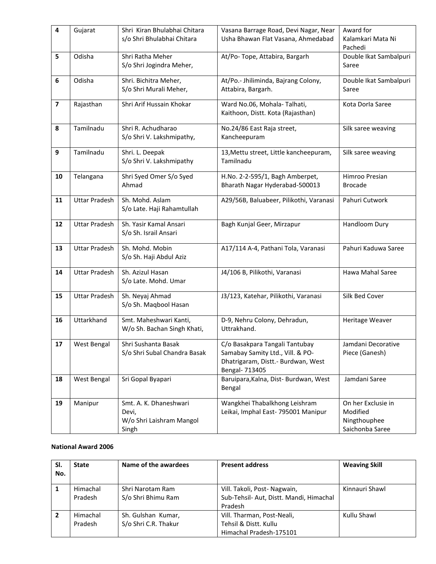| 4                       | Gujarat              | Shri Kiran Bhulabhai Chitara | Vasana Barrage Road, Devi Nagar, Near   | Award for              |
|-------------------------|----------------------|------------------------------|-----------------------------------------|------------------------|
|                         |                      | s/o Shri Bhulabhai Chitara   | Usha Bhawan Flat Vasana, Ahmedabad      | Kalamkari Mata Ni      |
|                         |                      |                              |                                         | Pachedi                |
| 5                       | Odisha               | Shri Ratha Meher             | At/Po-Tope, Attabira, Bargarh           | Double Ikat Sambalpuri |
|                         |                      | S/o Shri Jogindra Meher,     |                                         | Saree                  |
|                         |                      |                              |                                         |                        |
| 6                       | Odisha               | Shri. Bichitra Meher,        | At/Po.- Jhiliminda, Bajrang Colony,     | Double Ikat Sambalpuri |
|                         |                      | S/o Shri Murali Meher,       | Attabira, Bargarh.                      | Saree                  |
|                         |                      |                              |                                         |                        |
| $\overline{\mathbf{z}}$ | Rajasthan            | Shri Arif Hussain Khokar     | Ward No.06, Mohala-Talhati,             | Kota Dorla Saree       |
|                         |                      |                              | Kaithoon, Distt. Kota (Rajasthan)       |                        |
|                         |                      |                              |                                         |                        |
| 8                       | Tamilnadu            | Shri R. Achudharao           | No.24/86 East Raja street,              | Silk saree weaving     |
|                         |                      | S/o Shri V. Lakshmipathy,    | Kancheepuram                            |                        |
|                         |                      |                              |                                         |                        |
| 9                       | Tamilnadu            | Shri. L. Deepak              | 13, Mettu street, Little kancheepuram,  | Silk saree weaving     |
|                         |                      | S/o Shri V. Lakshmipathy     | Tamilnadu                               |                        |
|                         |                      |                              |                                         |                        |
| 10                      | Telangana            | Shri Syed Omer S/o Syed      | H.No. 2-2-595/1, Bagh Amberpet,         | Himroo Presian         |
|                         |                      | Ahmad                        | Bharath Nagar Hyderabad-500013          | <b>Brocade</b>         |
|                         |                      |                              |                                         |                        |
| 11                      | <b>Uttar Pradesh</b> | Sh. Mohd. Aslam              | A29/56B, Baluabeer, Pilikothi, Varanasi | Pahuri Cutwork         |
|                         |                      | S/o Late. Haji Rahamtullah   |                                         |                        |
|                         |                      |                              |                                         |                        |
| 12                      | <b>Uttar Pradesh</b> | Sh. Yasir Kamal Ansari       | Bagh Kunjal Geer, Mirzapur              | Handloom Dury          |
|                         |                      | S/o Sh. Israil Ansari        |                                         |                        |
|                         |                      |                              |                                         |                        |
| 13                      | <b>Uttar Pradesh</b> | Sh. Mohd. Mobin              | A17/114 A-4, Pathani Tola, Varanasi     | Pahuri Kaduwa Saree    |
|                         |                      | S/o Sh. Haji Abdul Aziz      |                                         |                        |
|                         |                      |                              |                                         |                        |
| 14                      | <b>Uttar Pradesh</b> | Sh. Azizul Hasan             | J4/106 B, Pilikothi, Varanasi           | Hawa Mahal Saree       |
|                         |                      | S/o Late. Mohd. Umar         |                                         |                        |
|                         |                      |                              |                                         |                        |
| 15                      | <b>Uttar Pradesh</b> | Sh. Neyaj Ahmad              | J3/123, Katehar, Pilikothi, Varanasi    | Silk Bed Cover         |
|                         |                      | S/o Sh. Maqbool Hasan        |                                         |                        |
|                         |                      |                              |                                         |                        |
| 16                      | Uttarkhand           | Smt. Maheshwari Kanti,       | D-9, Nehru Colony, Dehradun,            | Heritage Weaver        |
|                         |                      | W/o Sh. Bachan Singh Khati,  | Uttrakhand.                             |                        |
|                         |                      |                              |                                         |                        |
| 17                      | West Bengal          | Shri Sushanta Basak          | C/o Basakpara Tangali Tantubay          | Jamdani Decorative     |
|                         |                      | S/o Shri Subal Chandra Basak | Samabay Samity Ltd., Vill. & PO-        | Piece (Ganesh)         |
|                         |                      |                              | Dhatrigaram, Distt.- Burdwan, West      |                        |
|                         |                      |                              | Bengal- 713405                          |                        |
| 18                      | West Bengal          | Sri Gopal Byapari            | Baruipara, Kalna, Dist- Burdwan, West   | Jamdani Saree          |
|                         |                      |                              | Bengal                                  |                        |
|                         |                      |                              |                                         |                        |
| 19                      | Manipur              | Smt. A. K. Dhaneshwari       | Wangkhei Thabalkhong Leishram           | On her Exclusie in     |
|                         |                      | Devi,                        | Leikai, Imphal East- 795001 Manipur     | Modified               |
|                         |                      | W/o Shri Laishram Mangol     |                                         | Ningthouphee           |
|                         |                      |                              |                                         |                        |
|                         |                      | Singh                        |                                         | Saichonba Saree        |

| SI.<br>No. | <b>State</b>        | Name of the awardees                       | <b>Present address</b>                                                            | <b>Weaving Skill</b> |
|------------|---------------------|--------------------------------------------|-----------------------------------------------------------------------------------|----------------------|
| 1          | Himachal<br>Pradesh | Shri Narotam Ram<br>S/o Shri Bhimu Ram     | Vill. Takoli, Post-Nagwain,<br>Sub-Tehsil- Aut, Distt. Mandi, Himachal<br>Pradesh | Kinnauri Shawl       |
|            | Himachal<br>Pradesh | Sh. Gulshan Kumar,<br>S/o Shri C.R. Thakur | Vill. Tharman, Post-Neali,<br>Tehsil & Distt. Kullu<br>Himachal Pradesh-175101    | Kullu Shawl          |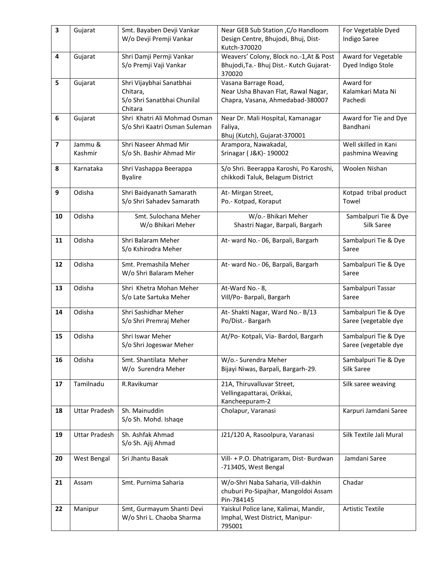| 3                       | Gujarat              | Smt. Bayaben Devji Vankar                       | Near GEB Sub Station , C/o Handloom                    | For Vegetable Dyed                 |
|-------------------------|----------------------|-------------------------------------------------|--------------------------------------------------------|------------------------------------|
|                         |                      | W/o Devji Premji Vankar                         | Design Centre, Bhujodi, Bhuj, Dist-                    | <b>Indigo Saree</b>                |
|                         |                      |                                                 | Kutch-370020                                           |                                    |
| 4                       | Gujarat              | Shri Damji Permji Vankar                        | Weavers' Colony, Block no.-1, At & Post                | Award for Vegetable                |
|                         |                      | S/o Premji Vaji Vankar                          | Bhujodi, Ta. - Bhuj Dist. - Kutch Gujarat-<br>370020   | Dyed Indigo Stole                  |
| 5                       | Gujarat              | Shri Vijaybhai Sanatbhai                        | Vasana Barrage Road,                                   | Award for                          |
|                         |                      | Chitara,                                        | Near Usha Bhavan Flat, Rawal Nagar,                    | Kalamkari Mata Ni                  |
|                         |                      | S/o Shri Sanatbhai Chunilal                     | Chapra, Vasana, Ahmedabad-380007                       | Pachedi                            |
|                         |                      | Chitara                                         |                                                        |                                    |
| 6                       | Gujarat              | Shri Khatri Ali Mohmad Osman                    | Near Dr. Mali Hospital, Kamanagar                      | Award for Tie and Dye              |
|                         |                      | S/o Shri Kaatri Osman Suleman                   | Faliya,                                                | Bandhani                           |
|                         |                      |                                                 | Bhuj (Kutch), Gujarat-370001                           |                                    |
| $\overline{\mathbf{z}}$ | Jammu &              | Shri Naseer Ahmad Mir                           | Arampora, Nawakadal,                                   | Well skilled in Kani               |
|                         | Kashmir              | S/o Sh. Bashir Ahmad Mir                        | Srinagar ( J&K) - 190002                               | pashmina Weaving                   |
|                         |                      |                                                 |                                                        |                                    |
| 8                       | Karnataka            | Shri Vashappa Beerappa                          | S/o Shri. Beerappa Karoshi, Po Karoshi,                | Woolen Nishan                      |
|                         |                      | <b>Byalire</b>                                  | chikkodi Taluk, Belagum District                       |                                    |
| 9                       | Odisha               | Shri Baidyanath Samarath                        | At- Mirgan Street,                                     | Kotpad tribal product              |
|                         |                      | S/o Shri Sahadev Samarath                       | Po.- Kotpad, Koraput                                   | Towel                              |
|                         | Odisha               |                                                 |                                                        |                                    |
| 10                      |                      | Smt. Sulochana Meher<br>W/o Bhikari Meher       | W/o.- Bhikari Meher<br>Shastri Nagar, Barpali, Bargarh | Sambalpuri Tie & Dye<br>Silk Saree |
|                         |                      |                                                 |                                                        |                                    |
| 11                      | Odisha               | Shri Balaram Meher                              | At- ward No.- 06, Barpali, Bargarh                     | Sambalpuri Tie & Dye               |
|                         |                      | S/o Kshirodra Meher                             |                                                        | Saree                              |
|                         |                      |                                                 |                                                        |                                    |
| 12                      | Odisha               | Smt. Premashila Meher<br>W/o Shri Balaram Meher | At- ward No.- 06, Barpali, Bargarh                     | Sambalpuri Tie & Dye<br>Saree      |
|                         |                      |                                                 |                                                        |                                    |
| 13                      | Odisha               | Shri Khetra Mohan Meher                         | At-Ward No.- 8,                                        | Sambalpuri Tassar                  |
|                         |                      | S/o Late Sartuka Meher                          | Vill/Po- Barpali, Bargarh                              | Saree                              |
| 14                      | Odisha               | Shri Sashidhar Meher                            | At-Shakti Nagar, Ward No.- B/13                        | Sambalpuri Tie & Dye               |
|                         |                      | S/o Shri Premraj Meher                          | Po/Dist.- Bargarh                                      | Saree (vegetable dye               |
|                         |                      |                                                 |                                                        |                                    |
| 15                      | Odisha               | Shri Iswar Meher                                | At/Po- Kotpali, Via- Bardol, Bargarh                   | Sambalpuri Tie & Dye               |
|                         |                      | S/o Shri Jogeswar Meher                         |                                                        | Saree (vegetable dye               |
| 16                      | Odisha               | Smt. Shantilata Meher                           | W/o.- Surendra Meher                                   | Sambalpuri Tie & Dye               |
|                         |                      | W/o Surendra Meher                              | Bijayi Niwas, Barpali, Bargarh-29.                     | Silk Saree                         |
|                         |                      |                                                 |                                                        |                                    |
| 17                      | Tamilnadu            | R.Ravikumar                                     | 21A, Thiruvalluvar Street,                             | Silk saree weaving                 |
|                         |                      |                                                 | Vellingapattarai, Orikkai,                             |                                    |
|                         |                      |                                                 | Kancheepuram-2                                         |                                    |
| 18                      | <b>Uttar Pradesh</b> | Sh. Mainuddin                                   | Cholapur, Varanasi                                     | Karpuri Jamdani Saree              |
|                         |                      | S/o Sh. Mohd. Ishaqe                            |                                                        |                                    |
| 19                      | <b>Uttar Pradesh</b> | Sh. Ashfak Ahmad                                | J21/120 A, Rasoolpura, Varanasi                        | Silk Textile Jali Mural            |
|                         |                      | S/o Sh. Ajij Ahmad                              |                                                        |                                    |
|                         |                      |                                                 |                                                        |                                    |
| 20                      | West Bengal          | Sri Jhantu Basak                                | Vill- + P.O. Dhatrigaram, Dist- Burdwan                | Jamdani Saree                      |
|                         |                      |                                                 | -713405, West Bengal                                   |                                    |
| 21                      | Assam                | Smt. Purnima Saharia                            | W/o-Shri Naba Saharia, Vill-dakhin                     | Chadar                             |
|                         |                      |                                                 | chuburi Po-Sipajhar, Mangoldoi Assam                   |                                    |
|                         |                      |                                                 | Pin-784145                                             |                                    |
| 22                      | Manipur              | Smt, Gurmayum Shanti Devi                       | Yaiskul Police lane, Kalimai, Mandir,                  | <b>Artistic Textile</b>            |
|                         |                      | W/o Shri L. Chaoba Sharma                       | Imphal, West District, Manipur-                        |                                    |
|                         |                      |                                                 | 795001                                                 |                                    |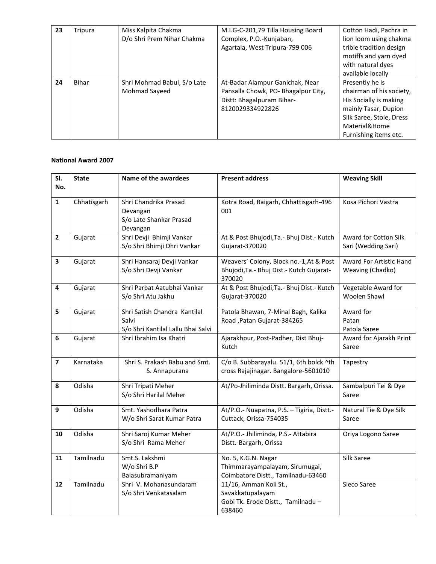| 23 | Tripura      | Miss Kalpita Chakma<br>D/o Shri Prem Nihar Chakma | M.I.G-C-201,79 Tilla Housing Board<br>Complex, P.O.-Kunjaban,<br>Agartala, West Tripura-799 006                         | Cotton Hadi, Pachra in<br>lion loom using chakma<br>trible tradition design<br>motiffs and yarn dyed<br>with natural dyes<br>available locally                      |
|----|--------------|---------------------------------------------------|-------------------------------------------------------------------------------------------------------------------------|---------------------------------------------------------------------------------------------------------------------------------------------------------------------|
| 24 | <b>Bihar</b> | Shri Mohmad Babul, S/o Late<br>Mohmad Sayeed      | At-Badar Alampur Ganichak, Near<br>Pansalla Chowk, PO- Bhagalpur City,<br>Distt: Bhagalpuram Bihar-<br>8120029334922826 | Presently he is<br>chairman of his society,<br>His Socially is making<br>mainly Tasar, Dupion<br>Silk Saree, Stole, Dress<br>Material&Home<br>Furnishing items etc. |

| SI.                     | <b>State</b> | Name of the awardees                                                        | <b>Present address</b>                                                                          | <b>Weaving Skill</b>                         |
|-------------------------|--------------|-----------------------------------------------------------------------------|-------------------------------------------------------------------------------------------------|----------------------------------------------|
| No.                     |              |                                                                             |                                                                                                 |                                              |
| $\mathbf{1}$            | Chhatisgarh  | Shri Chandrika Prasad<br>Devangan<br>S/o Late Shankar Prasad<br>Devangan    | Kotra Road, Raigarh, Chhattisgarh-496<br>001                                                    | Kosa Pichori Vastra                          |
| $\overline{\mathbf{2}}$ | Gujarat      | Shri Devji Bhimji Vankar<br>S/o Shri Bhimji Dhri Vankar                     | At & Post Bhujodi, Ta. - Bhuj Dist. - Kutch<br>Gujarat-370020                                   | Award for Cotton Silk<br>Sari (Wedding Sari) |
| 3                       | Gujarat      | Shri Hansaraj Devji Vankar<br>S/o Shri Devji Vankar                         | Weavers' Colony, Block no.-1, At & Post<br>Bhujodi, Ta. - Bhuj Dist. - Kutch Gujarat-<br>370020 | Award For Artistic Hand<br>Weaving (Chadko)  |
| 4                       | Gujarat      | Shri Parbat Aatubhai Vankar<br>S/o Shri Atu Jakhu                           | At & Post Bhujodi, Ta. - Bhuj Dist. - Kutch<br>Gujarat-370020                                   | Vegetable Award for<br>Woolen Shawl          |
| 5                       | Gujarat      | Shri Satish Chandra Kantilal<br>Salvi<br>S/o Shri Kantilal Lallu Bhai Salvi | Patola Bhawan, 7-Minal Bagh, Kalika<br>Road, Patan Gujarat-384265                               | Award for<br>Patan<br>Patola Saree           |
| 6                       | Gujarat      | Shri Ibrahim Isa Khatri                                                     | Ajarakhpur, Post-Padher, Dist Bhuj-<br>Kutch                                                    | Award for Ajarakh Print<br>Saree             |
| $\overline{\mathbf{z}}$ | Karnataka    | Shri S. Prakash Babu and Smt.<br>S. Annapurana                              | C/o B. Subbarayalu. 51/1, 6th bolck ^th<br>cross Rajajinagar. Bangalore-5601010                 | Tapestry                                     |
| 8                       | Odisha       | Shri Tripati Meher<br>S/o Shri Harilal Meher                                | At/Po-Jhiliminda Distt. Bargarh, Orissa.                                                        | Sambalpuri Tei & Dye<br>Saree                |
| 9                       | Odisha       | Smt. Yashodhara Patra<br>W/o Shri Sarat Kumar Patra                         | At/P.O.- Nuapatna, P.S. - Tigiria, Distt.-<br>Cuttack, Orissa-754035                            | Natural Tie & Dye Silk<br>Saree              |
| 10                      | Odisha       | Shri Saroj Kumar Meher<br>S/o Shri Rama Meher                               | At/P.O.- Jhiliminda, P.S.- Attabira<br>Distt.-Bargarh, Orissa                                   | Oriya Logono Saree                           |
| 11                      | Tamilnadu    | Smt.S. Lakshmi<br>W/o Shri B.P<br>Balasubramaniyam                          | No. 5, K.G.N. Nagar<br>Thimmarayampalayam, Sirumugai,<br>Coimbatore Distt., Tamilnadu-63460     | Silk Saree                                   |
| 12                      | Tamilnadu    | Shri V. Mohanasundaram<br>S/o Shri Venkatasalam                             | 11/16, Amman Koli St.,<br>Savakkatupalayam<br>Gobi Tk. Erode Distt., Tamilnadu-<br>638460       | Sieco Saree                                  |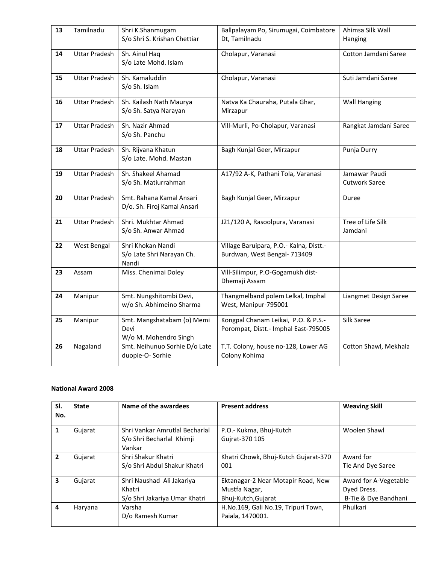| 13 | Tamilnadu            | Shri K.Shanmugam<br>S/o Shri S. Krishan Chettiar            | Ballpalayam Po, Sirumugai, Coimbatore<br>Dt, Tamilnadu                      | Ahimsa Silk Wall<br>Hanging           |
|----|----------------------|-------------------------------------------------------------|-----------------------------------------------------------------------------|---------------------------------------|
| 14 | <b>Uttar Pradesh</b> | Sh. Ainul Haq<br>S/o Late Mohd. Islam                       | Cholapur, Varanasi                                                          | Cotton Jamdani Saree                  |
| 15 | <b>Uttar Pradesh</b> | Sh. Kamaluddin<br>S/o Sh. Islam                             | Cholapur, Varanasi                                                          | Suti Jamdani Saree                    |
| 16 | <b>Uttar Pradesh</b> | Sh. Kailash Nath Maurya<br>S/o Sh. Satya Narayan            | Natva Ka Chauraha, Putala Ghar,<br>Mirzapur                                 | <b>Wall Hanging</b>                   |
| 17 | <b>Uttar Pradesh</b> | Sh. Nazir Ahmad<br>S/o Sh. Panchu                           | Vill-Murli, Po-Cholapur, Varanasi                                           | Rangkat Jamdani Saree                 |
| 18 | <b>Uttar Pradesh</b> | Sh. Rijvana Khatun<br>S/o Late. Mohd. Mastan                | Bagh Kunjal Geer, Mirzapur                                                  | Punja Durry                           |
| 19 | <b>Uttar Pradesh</b> | Sh. Shakeel Ahamad<br>S/o Sh. Matiurrahman                  | A17/92 A-K, Pathani Tola, Varanasi                                          | Jamawar Paudi<br><b>Cutwork Saree</b> |
| 20 | <b>Uttar Pradesh</b> | Smt. Rahana Kamal Ansari<br>D/o. Sh. Firoj Kamal Ansari     | Bagh Kunjal Geer, Mirzapur                                                  | Duree                                 |
| 21 | <b>Uttar Pradesh</b> | Shri. Mukhtar Ahmad<br>S/o Sh. Anwar Ahmad                  | J21/120 A, Rasoolpura, Varanasi                                             | Tree of Life Silk<br>Jamdani          |
| 22 | West Bengal          | Shri Khokan Nandi<br>S/o Late Shri Narayan Ch.<br>Nandi     | Village Baruipara, P.O.- Kalna, Distt.-<br>Burdwan, West Bengal- 713409     |                                       |
| 23 | Assam                | Miss. Chenimai Doley                                        | Vill-Silimpur, P.O-Gogamukh dist-<br>Dhemaji Assam                          |                                       |
| 24 | Manipur              | Smt. Nungshitombi Devi,<br>w/o Sh. Abhimeino Sharma         | Thangmelband polem Lelkal, Imphal<br>West, Manipur-795001                   | Liangmet Design Saree                 |
| 25 | Manipur              | Smt. Mangshatabam (o) Memi<br>Devi<br>W/o M. Mohendro Singh | Kongpal Chanam Leikai, P.O. & P.S.-<br>Porompat, Distt.- Imphal East-795005 | Silk Saree                            |
| 26 | Nagaland             | Smt. Neihunuo Sorhie D/o Late<br>duopie-O-Sorhie            | T.T. Colony, house no-128, Lower AG<br>Colony Kohima                        | Cotton Shawl, Mekhala                 |

| SI.<br>No. | <b>State</b> | Name of the awardees                                                  | <b>Present address</b>                                                     | <b>Weaving Skill</b>                                         |
|------------|--------------|-----------------------------------------------------------------------|----------------------------------------------------------------------------|--------------------------------------------------------------|
| 1          | Gujarat      | Shri Vankar Amrutlal Becharlal<br>S/o Shri Becharlal Khimji<br>Vankar | P.O.- Kukma, Bhuj-Kutch<br>Guirat-370 105                                  | Woolen Shawl                                                 |
| 2          | Gujarat      | Shri Shakur Khatri<br>S/o Shri Abdul Shakur Khatri                    | Khatri Chowk, Bhuj-Kutch Gujarat-370<br>001                                | Award for<br>Tie And Dye Saree                               |
| 3          | Gujarat      | Shri Naushad Ali Jakariya<br>Khatri<br>S/o Shri Jakariya Umar Khatri  | Ektanagar-2 Near Motapir Road, New<br>Mustfa Nagar,<br>Bhuj-Kutch, Gujarat | Award for A-Vegetable<br>Dyed Dress.<br>B-Tie & Dye Bandhani |
| 4          | Haryana      | Varsha<br>D/o Ramesh Kumar                                            | H.No.169, Gali No.19, Tripuri Town,<br>Paiala, 1470001.                    | Phulkari                                                     |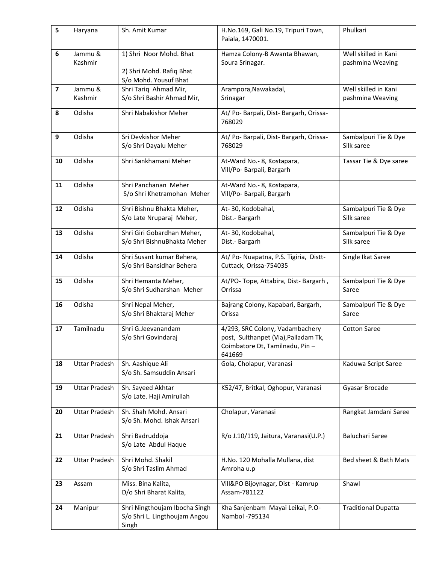| 5                       | Haryana              | Sh. Amit Kumar                                                               | H.No.169, Gali No.19, Tripuri Town,<br>Paiala, 1470001.                                                             | Phulkari                                 |
|-------------------------|----------------------|------------------------------------------------------------------------------|---------------------------------------------------------------------------------------------------------------------|------------------------------------------|
| 6                       | Jammu &<br>Kashmir   | 1) Shri Noor Mohd. Bhat<br>2) Shri Mohd. Rafiq Bhat<br>S/o Mohd. Yousuf Bhat | Hamza Colony-B Awanta Bhawan,<br>Soura Srinagar.                                                                    | Well skilled in Kani<br>pashmina Weaving |
| $\overline{\mathbf{z}}$ | Jammu &              | Shri Tariq Ahmad Mir,                                                        | Arampora, Nawakadal,                                                                                                | Well skilled in Kani                     |
|                         | Kashmir              | S/o Shri Bashir Ahmad Mir,                                                   | Srinagar                                                                                                            | pashmina Weaving                         |
| 8                       | Odisha               | Shri Nabakishor Meher                                                        | At/ Po- Barpali, Dist- Bargarh, Orissa-<br>768029                                                                   |                                          |
| $\boldsymbol{9}$        | Odisha               | Sri Devkishor Meher<br>S/o Shri Dayalu Meher                                 | At/ Po- Barpali, Dist- Bargarh, Orissa-<br>768029                                                                   | Sambalpuri Tie & Dye<br>Silk saree       |
| 10                      | Odisha               | Shri Sankhamani Meher                                                        | At-Ward No.- 8, Kostapara,<br>Vill/Po- Barpali, Bargarh                                                             | Tassar Tie & Dye saree                   |
| 11                      | Odisha               | Shri Panchanan Meher<br>S/o Shri Khetramohan Meher                           | At-Ward No.- 8, Kostapara,<br>Vill/Po- Barpali, Bargarh                                                             |                                          |
| 12                      | Odisha               | Shri Bishnu Bhakta Meher,<br>S/o Late Nruparaj Meher,                        | At-30, Kodobahal,<br>Dist.- Bargarh                                                                                 | Sambalpuri Tie & Dye<br>Silk saree       |
| 13                      | Odisha               | Shri Giri Gobardhan Meher,<br>S/o Shri BishnuBhakta Meher                    | At-30, Kodobahal,<br>Dist.- Bargarh                                                                                 | Sambalpuri Tie & Dye<br>Silk saree       |
| 14                      | Odisha               | Shri Susant kumar Behera,<br>S/o Shri Bansidhar Behera                       | At/ Po- Nuapatna, P.S. Tigiria, Distt-<br>Cuttack, Orissa-754035                                                    | Single Ikat Saree                        |
| 15                      | Odisha               | Shri Hemanta Meher,<br>S/o Shri Sudharshan Meher                             | At/PO- Tope, Attabira, Dist- Bargarh,<br>Orrissa                                                                    | Sambalpuri Tie & Dye<br>Saree            |
| 16                      | Odisha               | Shri Nepal Meher,<br>S/o Shri Bhaktaraj Meher                                | Bajrang Colony, Kapabari, Bargarh,<br>Orissa                                                                        | Sambalpuri Tie & Dye<br>Saree            |
| 17                      | Tamilnadu            | Shri G.Jeevanandam<br>S/o Shri Govindaraj                                    | 4/293, SRC Colony, Vadambachery<br>post, Sulthanpet (Via), Palladam Tk,<br>Coimbatore Dt, Tamilnadu, Pin-<br>641669 | <b>Cotton Saree</b>                      |
| 18                      | <b>Uttar Pradesh</b> | Sh. Aashique Ali<br>S/o Sh. Samsuddin Ansari                                 | Gola, Cholapur, Varanasi                                                                                            | Kaduwa Script Saree                      |
| 19                      | <b>Uttar Pradesh</b> | Sh. Sayeed Akhtar<br>S/o Late. Haji Amirullah                                | K52/47, Britkal, Oghopur, Varanasi                                                                                  | Gyasar Brocade                           |
| 20                      | <b>Uttar Pradesh</b> | Sh. Shah Mohd. Ansari<br>S/o Sh. Mohd. Ishak Ansari                          | Cholapur, Varanasi                                                                                                  | Rangkat Jamdani Saree                    |
| 21                      | <b>Uttar Pradesh</b> | Shri Badruddoja<br>S/o Late Abdul Haque                                      | R/o J.10/119, Jaitura, Varanasi(U.P.)                                                                               | <b>Baluchari Saree</b>                   |
| 22                      | <b>Uttar Pradesh</b> | Shri Mohd. Shakil<br>S/o Shri Taslim Ahmad                                   | H.No. 120 Mohalla Mullana, dist<br>Amroha u.p                                                                       | Bed sheet & Bath Mats                    |
| 23                      | Assam                | Miss. Bina Kalita,<br>D/o Shri Bharat Kalita,                                | Vill&PO Bijoynagar, Dist - Kamrup<br>Assam-781122                                                                   | Shawl                                    |
| 24                      | Manipur              | Shri Ningthoujam Ibocha Singh<br>S/o Shri L. Lingthoujam Angou<br>Singh      | Kha Sanjenbam Mayai Leikai, P.O-<br>Nambol -795134                                                                  | <b>Traditional Dupatta</b>               |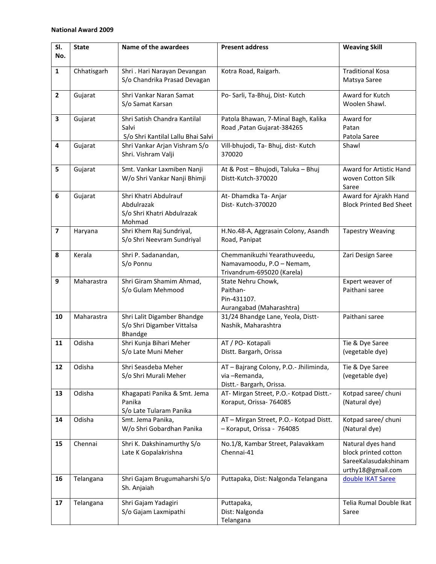| SI.<br>No.              | <b>State</b> | Name of the awardees                                                        | <b>Present address</b>                                                                  | <b>Weaving Skill</b>                                                                   |
|-------------------------|--------------|-----------------------------------------------------------------------------|-----------------------------------------------------------------------------------------|----------------------------------------------------------------------------------------|
| $\mathbf{1}$            | Chhatisgarh  | Shri . Hari Narayan Devangan<br>S/o Chandrika Prasad Devagan                | Kotra Road, Raigarh.                                                                    | <b>Traditional Kosa</b><br>Matsya Saree                                                |
| $\overline{\mathbf{2}}$ | Gujarat      | Shri Vankar Naran Samat<br>S/o Samat Karsan                                 | Po- Sarli, Ta-Bhuj, Dist- Kutch                                                         | Award for Kutch<br>Woolen Shawl.                                                       |
| 3                       | Gujarat      | Shri Satish Chandra Kantilal<br>Salvi<br>S/o Shri Kantilal Lallu Bhai Salvi | Patola Bhawan, 7-Minal Bagh, Kalika<br>Road, Patan Gujarat-384265                       | Award for<br>Patan<br>Patola Saree                                                     |
| 4                       | Gujarat      | Shri Vankar Arjan Vishram S/o<br>Shri. Vishram Valji                        | Vill-bhujodi, Ta- Bhuj, dist- Kutch<br>370020                                           | Shawl                                                                                  |
| 5                       | Gujarat      | Smt. Vankar Laxmiben Nanji<br>W/o Shri Vankar Nanji Bhimji                  | At & Post - Bhujodi, Taluka - Bhuj<br>Distt-Kutch-370020                                | Award for Artistic Hand<br>woven Cotton Silk<br>Saree                                  |
| 6                       | Gujarat      | Shri Khatri Abdulrauf<br>Abdulrazak<br>S/o Shri Khatri Abdulrazak<br>Mohmad | At- Dhamdka Ta- Anjar<br>Dist- Kutch-370020                                             | Award for Ajrakh Hand<br><b>Block Printed Bed Sheet</b>                                |
| $\overline{\mathbf{z}}$ | Haryana      | Shri Khem Raj Sundriyal,<br>S/o Shri Neevram Sundriyal                      | H.No.48-A, Aggrasain Colony, Asandh<br>Road, Panipat                                    | <b>Tapestry Weaving</b>                                                                |
| 8                       | Kerala       | Shri P. Sadanandan,<br>S/o Ponnu                                            | Chemmanikuzhi Yearathuveedu,<br>Namavamoodu, P.O - Nemam,<br>Trivandrum-695020 (Karela) | Zari Design Saree                                                                      |
| 9                       | Maharastra   | Shri Giram Shamim Ahmad,<br>S/o Gulam Mehmood                               | State Nehru Chowk,<br>Paithan-<br>Pin-431107.<br>Aurangabad (Maharashtra)               | Expert weaver of<br>Paithani saree                                                     |
| 10                      | Maharastra   | Shri Lalit Digamber Bhandge<br>S/o Shri Digamber Vittalsa<br>Bhandge        | 31/24 Bhandge Lane, Yeola, Distt-<br>Nashik, Maharashtra                                | Paithani saree                                                                         |
| 11                      | Odisha       | Shri Kunja Bihari Meher<br>S/o Late Muni Meher                              | AT / PO- Kotapali<br>Distt. Bargarh, Orissa                                             | Tie & Dye Saree<br>(vegetable dye)                                                     |
| 12                      | Odisha       | Shri Seasdeba Meher<br>S/o Shri Murali Meher                                | AT - Bajrang Colony, P.O.- Jhiliminda,<br>via-Remanda,<br>Distt.- Bargarh, Orissa.      | Tie & Dye Saree<br>(vegetable dye)                                                     |
| 13                      | Odisha       | Khagapati Panika & Smt. Jema<br>Panika<br>S/o Late Tularam Panika           | AT- Mirgan Street, P.O.- Kotpad Distt.-<br>Koraput, Orissa- 764085                      | Kotpad saree/ chuni<br>(Natural dye)                                                   |
| 14                      | Odisha       | Smt. Jema Panika,<br>W/o Shri Gobardhan Panika                              | AT - Mirgan Street, P.O.- Kotpad Distt.<br>- Koraput, Orissa - 764085                   | Kotpad saree/ chuni<br>(Natural dye)                                                   |
| 15                      | Chennai      | Shri K. Dakshinamurthy S/o<br>Late K Gopalakrishna                          | No.1/8, Kambar Street, Palavakkam<br>Chennai-41                                         | Natural dyes hand<br>block printed cotton<br>SareeKalasudakshinam<br>urthy18@gmail.com |
| 16                      | Telangana    | Shri Gajam Brugumaharshi S/o<br>Sh. Anjaiah                                 | Puttapaka, Dist: Nalgonda Telangana                                                     | double IKAT Saree                                                                      |
| 17                      | Telangana    | Shri Gajam Yadagiri<br>S/o Gajam Laxmipathi                                 | Puttapaka,<br>Dist: Nalgonda<br>Telangana                                               | Telia Rumal Double Ikat<br>Saree                                                       |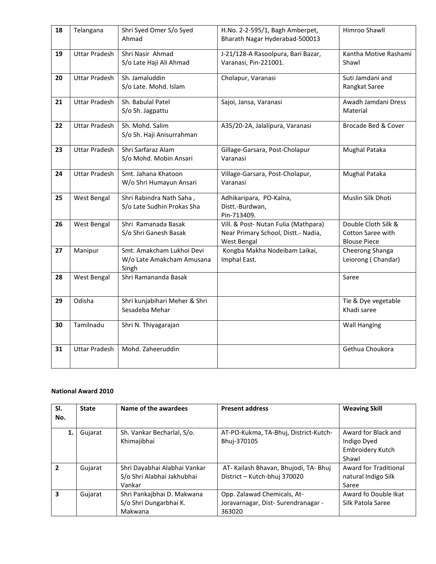| 18 | Telangana            | Shri Syed Omer S/o Syed<br>Ahmad                                | H.No. 2-2-595/1, Bagh Amberpet,<br>Bharath Nagar Hyderabad-500013                          | Himroo Shawll                                                   |
|----|----------------------|-----------------------------------------------------------------|--------------------------------------------------------------------------------------------|-----------------------------------------------------------------|
| 19 | <b>Uttar Pradesh</b> | Shri Nasir Ahmad<br>S/o Late Haji Ali Ahmad                     | J-21/128-A Rasoolpura, Bari Bazar,<br>Varanasi, Pin-221001.                                | Kantha Motive Rashami<br>Shawl                                  |
| 20 | <b>Uttar Pradesh</b> | Sh. Jamaluddin<br>S/o Late. Mohd. Islam                         | Cholapur, Varanasi                                                                         | Suti Jamdani and<br>Rangkat Saree                               |
| 21 | <b>Uttar Pradesh</b> | Sh. Babulal Patel<br>S/o Sh. Jagpattu                           | Sajoi, Jansa, Varanasi                                                                     | Awadh Jamdani Dress<br>Material                                 |
| 22 | <b>Uttar Pradesh</b> | Sh. Mohd. Salim<br>S/o Sh. Haji Anisurrahman                    | A35/20-2A, Jalalipura, Varanasi                                                            | Brocade Bed & Cover                                             |
| 23 | <b>Uttar Pradesh</b> | Shri Sarfaraz Alam<br>S/o Mohd. Mobin Ansari                    | Gillage-Garsara, Post-Cholapur<br>Varanasi                                                 | <b>Mughal Pataka</b>                                            |
| 24 | <b>Uttar Pradesh</b> | Smt. Jahana Khatoon<br>W/o Shri Humayun Ansari                  | Village-Garsara, Post-Cholapur,<br>Varanasi                                                | <b>Mughal Pataka</b>                                            |
| 25 | West Bengal          | Shri Rabindra Nath Saha,<br>S/o Late Sudhin Prokas Sha          | Adhikaripara, PO-Kalna,<br>Distt.-Burdwan,<br>Pin-713409.                                  | Muslin Silk Dhoti                                               |
| 26 | West Bengal          | Shri Ramanada Basak<br>S/o Shri Ganesh Basak                    | Vill. & Post- Nutan Fulia (Mathpara)<br>Near Primary School, Distt.- Nadia,<br>West Bengal | Double Cloth Silk &<br>Cotton Saree with<br><b>Blouse Piece</b> |
| 27 | Manipur              | Smt. Amakcham Lukhoi Devi<br>W/o Late Amakcham Amusana<br>Singh | Kongba Makha Nodeibam Laikai,<br>Imphal East.                                              | Cheerong Shanga<br>Leiorong (Chandar)                           |
| 28 | West Bengal          | Shri Ramananda Basak                                            |                                                                                            | Saree                                                           |
| 29 | Odisha               | Shri kunjabihari Meher & Shri<br>Sesadeba Mehar                 |                                                                                            | Tie & Dye vegetable<br>Khadi saree                              |
| 30 | Tamilnadu            | Shri N. Thiyagarajan                                            |                                                                                            | <b>Wall Hanging</b>                                             |
| 31 | <b>Uttar Pradesh</b> | Mohd. Zaheeruddin                                               |                                                                                            | Gethua Choukora                                                 |

| SI. | <b>State</b> | Name of the awardees                                                 | <b>Present address</b>                                                      | <b>Weaving Skill</b>                                            |
|-----|--------------|----------------------------------------------------------------------|-----------------------------------------------------------------------------|-----------------------------------------------------------------|
| No. |              |                                                                      |                                                                             |                                                                 |
| 1.  | Gujarat      | Sh. Vankar Becharlal, S/o.<br>Khimajibhai                            | AT-PO-Kukma, TA-Bhuj, District-Kutch-<br>Bhuj-370105                        | Award for Black and<br>Indigo Dyed<br>Embroidery Kutch<br>Shawl |
| 2   | Gujarat      | Shri Dayabhai Alabhai Vankar<br>S/o Shri Alabhai Jakhubhai<br>Vankar | AT-Kailash Bhavan, Bhujodi, TA-Bhuj<br>District - Kutch-bhuj 370020         | Award for Traditional<br>natural Indigo Silk<br>Saree           |
| 3   | Gujarat      | Shri Pankajbhai D. Makwana<br>S/o Shri Dungarbhai K.<br>Makwana      | Opp. Zalawad Chemicals, At-<br>Joravarnagar, Dist-Surendranagar -<br>363020 | Award fo Double Ikat<br>Silk Patola Saree                       |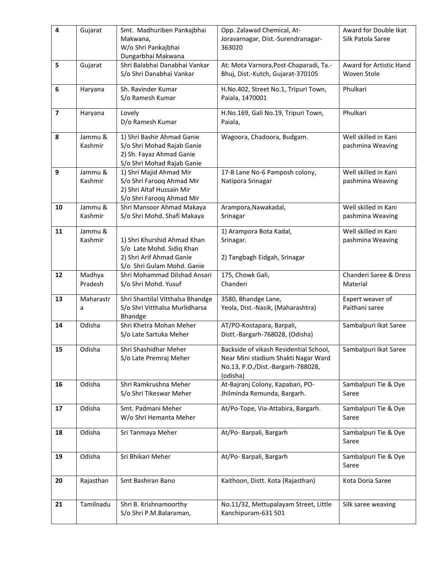| $\overline{\mathbf{4}}$ | Gujarat            | Smt. Madhuriben Pankajbhai<br>Makwana,<br>W/o Shri Pankajbhai<br>Dungarbhai Makwana                                | Opp. Zalawad Chemical, At-<br>Joravarnagar, Dist.-Surendranagar-<br>363020                                                     | Award for Double Ikat<br>Silk Patola Saree |
|-------------------------|--------------------|--------------------------------------------------------------------------------------------------------------------|--------------------------------------------------------------------------------------------------------------------------------|--------------------------------------------|
| 5                       | Gujarat            | Shri Balabhai Danabhai Vankar<br>S/o Shri Danabhai Vankar                                                          | At: Mota Varnora, Post-Chaparadi, Ta.-<br>Bhuj, Dist.-Kutch, Gujarat-370105                                                    | Award for Artistic Hand<br>Woven Stole     |
| 6                       | Haryana            | Sh. Ravinder Kumar<br>S/o Ramesh Kumar                                                                             | H.No.402, Street No.1, Tripuri Town,<br>Paiala, 1470001                                                                        | Phulkari                                   |
| $\overline{\mathbf{z}}$ | Haryana            | Lovely<br>D/o Ramesh Kumar                                                                                         | H.No.169, Gali No.19, Tripuri Town,<br>Paiala,                                                                                 | Phulkari                                   |
| 8                       | Jammu &<br>Kashmir | 1) Shri Bashir Ahmad Ganie<br>S/o Shri Mohad Rajab Ganie<br>2) Sh. Fayaz Ahmad Ganie<br>S/o Shri Mohad Rajab Ganie | Wagoora, Chadoora, Budgam.                                                                                                     | Well skilled in Kani<br>pashmina Weaving   |
| 9                       | Jammu &<br>Kashmir | 1) Shri Majid Ahmad Mir<br>S/o Shri Farooq Ahmad Mir<br>2) Shri Altaf Hussain Mir<br>S/o Shri Farooq Ahmad Mir     | 17-B Lane No-6 Pamposh colony,<br>Natipora Srinagar                                                                            | Well skilled in Kani<br>pashmina Weaving   |
| 10                      | Jammu &<br>Kashmir | Shri Mansoor Ahmad Makaya<br>S/o Shri Mohd. Shafi Makaya                                                           | Arampora, Nawakadal,<br>Srinagar                                                                                               | Well skilled in Kani<br>pashmina Weaving   |
| 11                      | Jammu &<br>Kashmir | 1) Shri Khurshid Ahmad Khan<br>S/o Late Mohd. Sidiq Khan<br>2) Shri Arif Ahmad Ganie<br>S/o Shri Gulam Mohd. Ganie | 1) Arampora Bota Kadal,<br>Srinagar.<br>2) Tangbagh Eidgah, Srinagar                                                           | Well skilled in Kani<br>pashmina Weaving   |
| 12                      | Madhya<br>Pradesh  | Shri Mohammad Dilshad Ansari<br>S/o Shri Mohd. Yusuf                                                               | 175, Chowk Gali,<br>Chanderi                                                                                                   | Chanderi Saree & Dress<br>Material         |
| 13                      | Maharastr<br>a     | Shri Shantilal Vitthalsa Bhandge<br>S/o Shri Vitthalsa Murlidharsa<br>Bhandge                                      | 3580, Bhandge Lane,<br>Yeola, Dist.-Nasik, (Maharashtra)                                                                       | Expert weaver of<br>Paithani saree         |
| 14                      | Odisha             | Shri Khetra Mohan Meher<br>S/o Late Sartuka Meher                                                                  | AT/PO-Kostapara, Barpali,<br>Distt.-Bargarh-768028, (Odisha)                                                                   | Sambalpuri Ikat Saree                      |
| 15                      | Odisha             | Shri Shashidhar Meher<br>S/o Late Premraj Meher                                                                    | Backside of vikash Residential School,<br>Near Mini stadium Shakti Nagar Ward<br>No.13, P.O./Dist.-Bargarh-788028,<br>(odisha) | Sambalpuri Ikat Saree                      |
| 16                      | Odisha             | Shri Ramkrushna Meher<br>S/o Shri Tikeswar Meher                                                                   | At-Bajranj Colony, Kapabari, PO-<br>Jhilminda Remunda, Bargarh.                                                                | Sambalpuri Tie & Dye<br>Saree              |
| 17                      | Odisha             | Smt. Padmani Meher<br>W/o Shri Hemanta Meher                                                                       | At/Po-Tope, Via-Attabira, Bargarh.                                                                                             | Sambalpuri Tie & Dye<br>Saree              |
| 18                      | Odisha             | Sri Tanmaya Meher                                                                                                  | At/Po- Barpali, Bargarh                                                                                                        | Sambalpuri Tie & Dye<br>Saree              |
| 19                      | Odisha             | Sri Bhikari Meher                                                                                                  | At/Po- Barpali, Bargarh                                                                                                        | Sambalpuri Tie & Dye<br>Saree              |
| 20                      | Rajasthan          | Smt Bashiran Bano                                                                                                  | Kaithoon, Distt. Kota (Rajasthan)                                                                                              | Kota Doria Saree                           |
| 21                      | Tamilnadu          | Shri B. Krishnamoorthy<br>S/o Shri P.M.Balaraman,                                                                  | No.11/32, Mettupalayam Street, Little<br>Kanchipuram-631 501                                                                   | Silk saree weaving                         |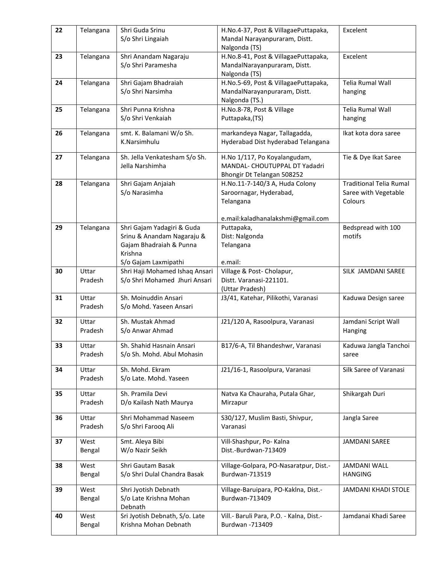| 22 | Telangana | Shri Guda Srinu                                         | H.No.4-37, Post & VillagaePuttapaka,                          | Excelent                       |
|----|-----------|---------------------------------------------------------|---------------------------------------------------------------|--------------------------------|
|    |           | S/o Shri Lingaiah                                       | Mandal Narayanpuraram, Distt.                                 |                                |
|    |           |                                                         | Nalgonda (TS)                                                 |                                |
| 23 | Telangana | Shri Anandam Nagaraju                                   | H.No.8-41, Post & VillagaePuttapaka,                          | Excelent                       |
|    |           | S/o Shri Paramesha                                      | MandalNarayanpuraram, Distt.                                  |                                |
|    |           |                                                         | Nalgonda (TS)                                                 |                                |
| 24 | Telangana | Shri Gajam Bhadraiah                                    | H.No.5-69, Post & VillagaePuttapaka,                          | Telia Rumal Wall               |
|    |           | S/o Shri Narsimha                                       | MandalNarayanpuraram, Distt.                                  | hanging                        |
|    |           |                                                         | Nalgonda (TS.)                                                |                                |
| 25 | Telangana | Shri Punna Krishna                                      | H.No.8-78, Post & Village                                     | Telia Rumal Wall               |
|    |           | S/o Shri Venkaiah                                       | Puttapaka, (TS)                                               | hanging                        |
|    |           |                                                         |                                                               |                                |
| 26 | Telangana | smt. K. Balamani W/o Sh.                                | markandeya Nagar, Tallagadda,                                 | Ikat kota dora saree           |
|    |           | K.Narsimhulu                                            | Hyderabad Dist hyderabad Telangana                            |                                |
|    |           |                                                         |                                                               |                                |
| 27 | Telangana | Sh. Jella Venkatesham S/o Sh.<br>Jella Narshimha        | H.No 1/117, Po Koyalangudam,<br>MANDAL- CHOUTUPPAL DT Yadadri | Tie & Dye Ikat Saree           |
|    |           |                                                         |                                                               |                                |
| 28 |           |                                                         | Bhongir Dt Telangan 508252                                    | <b>Traditional Telia Rumal</b> |
|    | Telangana | Shri Gajam Anjaiah<br>S/o Narasimha                     | H.No.11-7-140/3 A, Huda Colony<br>Saroornagar, Hyderabad,     | Saree with Vegetable           |
|    |           |                                                         |                                                               | Colours                        |
|    |           |                                                         | Telangana                                                     |                                |
|    |           |                                                         | e.mail:kaladhanalakshmi@gmail.com                             |                                |
| 29 | Telangana | Shri Gajam Yadagiri & Guda                              | Puttapaka,                                                    | Bedspread with 100             |
|    |           | Srinu & Anandam Nagaraju &                              | Dist: Nalgonda                                                | motifs                         |
|    |           | Gajam Bhadraiah & Punna                                 | Telangana                                                     |                                |
|    |           | Krishna                                                 |                                                               |                                |
|    |           | S/o Gajam Laxmipathi                                    | e.mail:                                                       |                                |
| 30 | Uttar     | Shri Haji Mohamed Ishaq Ansari                          | Village & Post- Cholapur,                                     | SILK JAMDANI SAREE             |
|    | Pradesh   | S/o Shri Mohamed Jhuri Ansari                           | Distt. Varanasi-221101.                                       |                                |
|    |           |                                                         | (Uttar Pradesh)                                               |                                |
| 31 | Uttar     | Sh. Moinuddin Ansari                                    | J3/41, Katehar, Pilikothi, Varanasi                           | Kaduwa Design saree            |
|    | Pradesh   | S/o Mohd. Yaseen Ansari                                 |                                                               |                                |
|    |           |                                                         |                                                               |                                |
| 32 | Uttar     | Sh. Mustak Ahmad                                        | J21/120 A, Rasoolpura, Varanasi                               | Jamdani Script Wall            |
|    | Pradesh   | S/o Anwar Ahmad                                         |                                                               | Hanging                        |
| 33 | Uttar     | Sh. Shahid Hasnain Ansari                               | B17/6-A, Til Bhandeshwr, Varanasi                             | Kaduwa Jangla Tanchoi          |
|    | Pradesh   | S/o Sh. Mohd. Abul Mohasin                              |                                                               |                                |
|    |           |                                                         |                                                               | saree                          |
| 34 | Uttar     | Sh. Mohd. Ekram                                         | J21/16-1, Rasoolpura, Varanasi                                | Silk Saree of Varanasi         |
|    | Pradesh   | S/o Late. Mohd. Yaseen                                  |                                                               |                                |
|    |           |                                                         |                                                               |                                |
| 35 | Uttar     | Sh. Pramila Devi                                        | Natva Ka Chauraha, Putala Ghar,                               | Shikargah Duri                 |
|    | Pradesh   | D/o Kailash Nath Maurya                                 | Mirzapur                                                      |                                |
| 36 | Uttar     | Shri Mohammad Naseem                                    | S30/127, Muslim Basti, Shivpur,                               | Jangla Saree                   |
|    | Pradesh   | S/o Shri Farooq Ali                                     | Varanasi                                                      |                                |
|    |           |                                                         |                                                               |                                |
| 37 | West      | Smt. Aleya Bibi                                         | Vill-Shashpur, Po- Kalna                                      | JAMDANI SAREE                  |
|    | Bengal    | W/o Nazir Seikh                                         | Dist.-Burdwan-713409                                          |                                |
|    |           |                                                         |                                                               |                                |
| 38 | West      | Shri Gautam Basak                                       | Village-Golpara, PO-Nasaratpur, Dist.-                        | <b>JAMDANI WALL</b>            |
|    | Bengal    | S/o Shri Dulal Chandra Basak                            | Burdwan-713519                                                | <b>HANGING</b>                 |
|    |           |                                                         |                                                               |                                |
| 39 | West      | Shri Jyotish Debnath<br>S/o Late Krishna Mohan          | Village-Baruipara, PO-Kaklna, Dist.-<br>Burdwan-713409        | JAMDANI KHADI STOLE            |
|    | Bengal    | Debnath                                                 |                                                               |                                |
|    | West      |                                                         |                                                               | Jamdanai Khadi Saree           |
| 40 |           | Sri Jyotish Debnath, S/o. Late<br>Krishna Mohan Debnath | Vill.- Baruli Para, P.O. - Kalna, Dist.-<br>Burdwan -713409   |                                |
|    | Bengal    |                                                         |                                                               |                                |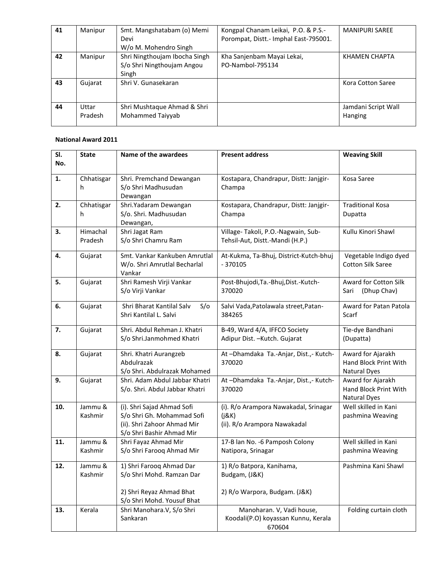| 41 | Manipur          | Smt. Mangshatabam (o) Memi<br>Devi<br>W/o M. Mohendro Singh          | Kongpal Chanam Leikai, P.O. & P.S.-<br>Porompat, Distt.- Imphal East-795001. | <b>MANIPURI SAREE</b>          |
|----|------------------|----------------------------------------------------------------------|------------------------------------------------------------------------------|--------------------------------|
| 42 | Manipur          | Shri Ningthoujam Ibocha Singh<br>S/o Shri Ningthoujam Angou<br>Singh | Kha Sanjenbam Mayai Lekai,<br>PO-Nambol-795134                               | KHAMEN CHAPTA                  |
| 43 | Gujarat          | Shri V. Gunasekaran                                                  |                                                                              | Kora Cotton Saree              |
| 44 | Uttar<br>Pradesh | Shri Mushtaque Ahmad & Shri<br>Mohammed Taiyyab                      |                                                                              | Jamdani Script Wall<br>Hanging |

| SI.<br>No. | <b>State</b>        | Name of the awardees                                                                                                 | <b>Present address</b>                                                         | <b>Weaving Skill</b>                                              |
|------------|---------------------|----------------------------------------------------------------------------------------------------------------------|--------------------------------------------------------------------------------|-------------------------------------------------------------------|
| 1.         | Chhatisgar<br>h     | Shri. Premchand Dewangan<br>S/o Shri Madhusudan<br>Dewangan                                                          | Kostapara, Chandrapur, Distt: Janjgir-<br>Champa                               | Kosa Saree                                                        |
| 2.         | Chhatisgar<br>h     | Shri.Yadaram Dewangan<br>S/o. Shri. Madhusudan<br>Dewangan,                                                          | Kostapara, Chandrapur, Distt: Janjgir-<br>Champa                               | <b>Traditional Kosa</b><br>Dupatta                                |
| 3.         | Himachal<br>Pradesh | Shri Jagat Ram<br>S/o Shri Chamru Ram                                                                                | Village-Takoli, P.O.-Nagwain, Sub-<br>Tehsil-Aut, Distt.-Mandi (H.P.)          | Kullu Kinori Shawl                                                |
| 4.         | Gujarat             | Smt. Vankar Kankuben Amrutlal<br>W/o. Shri Amrutlal Becharlal<br>Vankar                                              | At-Kukma, Ta-Bhuj, District-Kutch-bhuj<br>$-370105$                            | Vegetable Indigo dyed<br><b>Cotton Silk Saree</b>                 |
| 5.         | Gujarat             | Shri Ramesh Virji Vankar<br>S/o Virji Vankar                                                                         | Post-Bhujodi, Ta.-Bhuj, Dist.-Kutch-<br>370020                                 | Award for Cotton Silk<br>(Dhup Chav)<br>Sari                      |
| 6.         | Gujarat             | Shri Bharat Kantilal Salv<br>S/O<br>Shri Kantilal L. Salvi                                                           | Salvi Vada, Patolawala street, Patan-<br>384265                                | Award for Patan Patola<br>Scarf                                   |
| 7.         | Gujarat             | Shri. Abdul Rehman J. Khatri<br>S/o Shri.Janmohmed Khatri                                                            | B-49, Ward 4/A, IFFCO Society<br>Adipur Dist. - Kutch. Gujarat                 | Tie-dye Bandhani<br>(Dupatta)                                     |
| 8.         | Gujarat             | Shri. Khatri Aurangzeb<br>Abdulrazak<br>S/o Shri. Abdulrazak Mohamed                                                 | At-Dhamdaka Ta.-Anjar, Dist.,- Kutch-<br>370020                                | Award for Ajarakh<br>Hand Block Print With<br><b>Natural Dyes</b> |
| 9.         | Gujarat             | Shri, Adam Abdul Jabbar Khatri<br>S/o. Shri. Abdul Jabbar Khatri                                                     | At-Dhamdaka Ta.-Anjar, Dist.,- Kutch-<br>370020                                | Award for Ajarakh<br>Hand Block Print With<br><b>Natural Dyes</b> |
| 10.        | Jammu &<br>Kashmir  | (i). Shri Sajad Ahmad Sofi<br>S/o Shri Gh. Mohammad Sofi<br>(ii). Shri Zahoor Ahmad Mir<br>S/o Shri Bashir Ahmad Mir | (i). R/o Arampora Nawakadal, Srinagar<br>(i&K)<br>(ii). R/o Arampora Nawakadal | Well skilled in Kani<br>pashmina Weaving                          |
| 11.        | Jammu &<br>Kashmir  | Shri Fayaz Ahmad Mir<br>S/o Shri Farooq Ahmad Mir                                                                    | 17-B lan No. -6 Pamposh Colony<br>Natipora, Srinagar                           | Well skilled in Kani<br>pashmina Weaving                          |
| 12.        | Jammu &<br>Kashmir  | 1) Shri Farooq Ahmad Dar<br>S/o Shri Mohd. Ramzan Dar                                                                | 1) R/o Batpora, Kanihama,<br>Budgam, (J&K)                                     | Pashmina Kani Shawl                                               |
|            |                     | 2) Shri Reyaz Ahmad Bhat<br>S/o Shri Mohd. Yousuf Bhat                                                               | 2) R/o Warpora, Budgam. (J&K)                                                  |                                                                   |
| 13.        | Kerala              | Shri Manohara.V, S/o Shri<br>Sankaran                                                                                | Manoharan. V, Vadi house,<br>Koodali(P.O) koyassan Kunnu, Kerala<br>670604     | Folding curtain cloth                                             |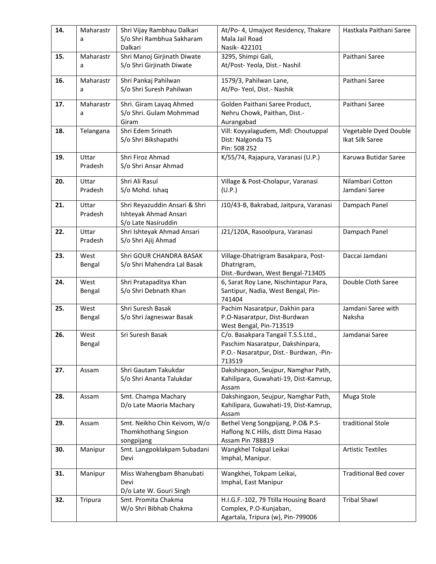| 14. | Maharastr        | Shri Vijay Rambhau Dalkari                         | At/Po- 4, Umajyot Residency, Thakare                           | Hastkala Paithani Saree      |
|-----|------------------|----------------------------------------------------|----------------------------------------------------------------|------------------------------|
|     | a                | S/o Shri Rambhua Sakharam                          | Mala Jail Road                                                 |                              |
|     |                  | Dalkari                                            | Nasik-422101                                                   |                              |
| 15. | Maharastr        | Shri Manoj Girjinath Diwate                        | 3295, Shimpi Gali,                                             | Paithani Saree               |
|     | a                | S/o Shri Girjinath Diwate                          | At/Post-Yeola, Dist.- Nashil                                   |                              |
| 16. | Maharastr        | Shri Pankaj Pahilwan                               | 1579/3, Pahilwan Lane,                                         | Paithani Saree               |
|     | a                | S/o Shri Suresh Pahilwan                           | At/Po- Yeol, Dist.- Nashik                                     |                              |
|     |                  |                                                    |                                                                |                              |
| 17. | Maharastr        | Shri. Giram Layaq Ahmed<br>S/o Shri. Gulam Mohmmad | Golden Paithani Saree Product,<br>Nehru Chowk, Paithan, Dist.- | Paithani Saree               |
|     | a                | Giram                                              | Aurangabad                                                     |                              |
| 18. | Telangana        | Shri Edem Srinath                                  | Vill: Koyyalagudem, Mdl: Choutuppal                            | Vegetable Dyed Double        |
|     |                  | S/o Shri Bikshapathi                               | Dist: Nalgonda TS                                              | Ikat Silk Saree              |
|     |                  |                                                    | Pin: 508 252                                                   |                              |
| 19. | Uttar            | Shri Firoz Ahmad                                   | K/55/74, Rajapura, Varanasi (U.P.)                             | Karuwa Butidar Saree         |
|     | Pradesh          | S/o Shri Ansar Ahmad                               |                                                                |                              |
| 20. | Uttar            | Shri Ali Rasul                                     | Village & Post-Cholapur, Varanasi                              | Nilambari Cotton             |
|     | Pradesh          | S/o Mohd. Ishaq                                    | (U.P.)                                                         | Jamdani Saree                |
|     |                  |                                                    |                                                                |                              |
| 21. | Uttar            | Shri Reyazuddin Ansari & Shri                      | J10/43-B, Bakrabad, Jaitpura, Varanasi                         | Dampach Panel                |
|     | Pradesh          | Ishteyak Ahmad Ansari                              |                                                                |                              |
|     |                  | S/o Late Nasiruddin                                |                                                                |                              |
| 22. | Uttar<br>Pradesh | Shri Ishteyak Ahmad Ansari                         | J21/120A, Rasoolpura, Varanasi                                 | Dampach Panel                |
|     |                  | S/o Shri Ajij Ahmad                                |                                                                |                              |
| 23. | West             | Shri GOUR CHANDRA BASAK                            | Village-Dhatrigram Basakpara, Post-                            | Daccai Jamdani               |
|     | Bengal           | S/o Shri Mahendra Lal Basak                        | Dhatrigram,                                                    |                              |
|     |                  |                                                    | Dist.-Burdwan, West Bengal-713405                              |                              |
| 24. | West             | Shri Pratapaditya Khan                             | 6, Sarat Roy Lane, Nischintapur Para,                          | Double Cloth Saree           |
|     | Bengal           | S/o Shri Debnath Khan                              | Santipur, Nadia, West Bengal, Pin-                             |                              |
| 25. | West             | Shri Suresh Basak                                  | 741404<br>Pachim Nasaratpur, Dakhin para                       | Jamdani Saree with           |
|     | Bengal           | S/o Shri Jagneswar Basak                           | P.O-Nasaratpur, Dist-Burdwan                                   | Naksha                       |
|     |                  |                                                    | West Bengal, Pin-713519                                        |                              |
| 26. | West             | Sri Suresh Basak                                   | C/o. Basakpara Tangail T.S.S.Ltd.,                             | Jamdanai Saree               |
|     | Bengal           |                                                    | Paschim Nasaratpur, Dakshinpara,                               |                              |
|     |                  |                                                    | P.O.- Nasaratpur, Dist.- Burdwan, -Pin-                        |                              |
|     |                  |                                                    | 713519                                                         |                              |
| 27. | Assam            | Shri Gautam Takukdar                               | Dakshingaon, Seujpur, Namghar Path,                            |                              |
|     |                  | S/o Shri Ananta Talukdar                           | Kahilipara, Guwahati-19, Dist-Kamrup,                          |                              |
| 28. | Assam            | Smt. Champa Machary                                | Assam<br>Dakshingaon, Seujpur, Namghar Path,                   | Muga Stole                   |
|     |                  | D/o Late Maoria Machary                            | Kahilipara, Guwahati-19, Dist-Kamrup,                          |                              |
|     |                  |                                                    | Assam                                                          |                              |
| 29. | Assam            | Smt. Neikho Chin Keivom, W/o                       | Bethel Veng Songpijang, P.O& P.S-                              | traditional Stole            |
|     |                  | Thomkhothang Singson                               | Haflong N.C Hills, distt Dima Hasao                            |                              |
|     |                  | songpijang                                         | Assam Pin 788819                                               |                              |
| 30. | Manipur          | Smt. Langpoklakpam Subadani                        | Wangkhel Tokpal Leikai                                         | <b>Artistic Textiles</b>     |
|     |                  | Devi                                               | Imphal, Manipur.                                               |                              |
| 31. | Manipur          | Miss Wahengbam Bhanubati                           | Wangkhei, Tokpam Leikai,                                       | <b>Traditional Bed cover</b> |
|     |                  | Devi                                               | Imphal, East Manipur                                           |                              |
|     |                  | D/o Late W. Gouri Singh                            |                                                                |                              |
| 32. | Tripura          | Smt. Promita Chakma                                | H.I.G.F.-102, 79 Ttilla Housing Board                          | <b>Tribal Shawl</b>          |
|     |                  | W/o Shri Bibhab Chakma                             | Complex, P.O-Kunjaban,                                         |                              |
|     |                  |                                                    | Agartala, Tripura (w), Pin-799006                              |                              |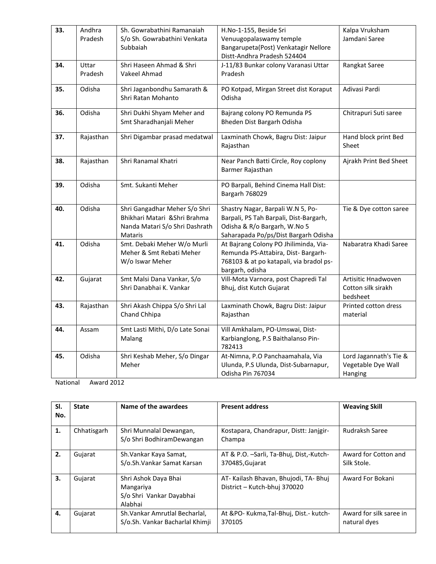| 33. | Andhra           | Sh. Gowrabathini Ramanaiah                | H.No-1-155, Beside Sri                                                        | Kalpa Vruksham         |
|-----|------------------|-------------------------------------------|-------------------------------------------------------------------------------|------------------------|
|     | Pradesh          | S/o Sh. Gowrabathini Venkata              | Venuugopalaswamy temple                                                       | Jamdani Saree          |
|     |                  | Subbaiah                                  | Bangarupeta(Post) Venkatagir Nellore                                          |                        |
|     |                  |                                           | Distt-Andhra Pradesh 524404                                                   |                        |
| 34. | Uttar<br>Pradesh | Shri Haseen Ahmad & Shri<br>Vakeel Ahmad  | J-11/83 Bunkar colony Varanasi Uttar<br>Pradesh                               | Rangkat Saree          |
|     |                  |                                           |                                                                               |                        |
| 35. | Odisha           | Shri Jaganbondhu Samarath &               | PO Kotpad, Mirgan Street dist Koraput                                         | Adivasi Pardi          |
|     |                  | Shri Ratan Mohanto                        | Odisha                                                                        |                        |
| 36. | Odisha           | Shri Dukhi Shyam Meher and                | Bajrang colony PO Remunda PS                                                  | Chitrapuri Suti saree  |
|     |                  | Smt Sharadhanjali Meher                   | Bheden Dist Bargarh Odisha                                                    |                        |
|     |                  |                                           |                                                                               |                        |
| 37. | Rajasthan        | Shri Digambar prasad medatwal             | Laxminath Chowk, Bagru Dist: Jaipur                                           | Hand block print Bed   |
|     |                  |                                           | Rajasthan                                                                     | Sheet                  |
| 38. | Rajasthan        | Shri Ranamal Khatri                       | Near Panch Batti Circle, Roy coplony                                          | Ajrakh Print Bed Sheet |
|     |                  |                                           | Barmer Rajasthan                                                              |                        |
| 39. | Odisha           | Smt. Sukanti Meher                        | PO Barpali, Behind Cinema Hall Dist:                                          |                        |
|     |                  |                                           | Bargarh 768029                                                                |                        |
|     |                  |                                           |                                                                               |                        |
| 40. | Odisha           | Shri Gangadhar Meher S/o Shri             | Shastry Nagar, Barpali W.N 5, Po-                                             | Tie & Dye cotton saree |
|     |                  | Bhikhari Matari &Shri Brahma              | Barpali, PS Tah Barpali, Dist-Bargarh,                                        |                        |
|     |                  | Nanda Matari S/o Shri Dashrath<br>Mataris | Odisha & R/o Bargarh, W.No 5                                                  |                        |
| 41. | Odisha           | Smt. Debaki Meher W/o Murli               | Saharapada Po/ps/Dist Bargarh Odisha<br>At Bajrang Colony PO Jhiliminda, Via- | Nabaratra Khadi Saree  |
|     |                  | Meher & Smt Rebati Meher                  | Remunda PS-Attabira, Dist- Bargarh-                                           |                        |
|     |                  | W/o Iswar Meher                           | 768103 & at po katapali, via bradol ps-                                       |                        |
|     |                  |                                           | bargarh, odisha                                                               |                        |
| 42. | Gujarat          | Smt Malsi Dana Vankar, S/o                | Vill-Mota Varnora, post Chapredi Tal                                          | Artisitic Hnadwoven    |
|     |                  | Shri Danabhai K. Vankar                   | Bhuj, dist Kutch Gujarat                                                      | Cotton silk sirakh     |
|     |                  |                                           |                                                                               | bedsheet               |
| 43. | Rajasthan        | Shri Akash Chippa S/o Shri Lal            | Laxminath Chowk, Bagru Dist: Jaipur                                           | Printed cotton dress   |
|     |                  | Chand Chhipa                              | Rajasthan                                                                     | material               |
| 44. | Assam            | Smt Lasti Mithi, D/o Late Sonai           | Vill Amkhalam, PO-Umswai, Dist-                                               |                        |
|     |                  | Malang                                    | Karbianglong, P.S Baithalanso Pin-                                            |                        |
|     |                  |                                           | 782413                                                                        |                        |
| 45. | Odisha           | Shri Keshab Meher, S/o Dingar             | At-Nimna, P.O Panchaamahala, Via                                              | Lord Jagannath's Tie & |
|     |                  | Meher                                     | Ulunda, P.S Ulunda, Dist-Subarnapur,                                          | Vegetable Dye Wall     |
|     |                  |                                           | Odisha Pin 767034                                                             | Hanging                |

| SI.<br>No. | <b>State</b> | Name of the awardees                                                     | <b>Present address</b>                                                | <b>Weaving Skill</b>                    |
|------------|--------------|--------------------------------------------------------------------------|-----------------------------------------------------------------------|-----------------------------------------|
| 1.         | Chhatisgarh  | Shri Munnalal Dewangan,<br>S/o Shri BodhiramDewangan                     | Kostapara, Chandrapur, Distt: Janigir-<br>Champa                      | Rudraksh Saree                          |
| 2.         | Gujarat      | Sh. Vankar Kaya Samat,<br>S/o.Sh.Vankar Samat Karsan                     | AT & P.O. -Sarli, Ta-Bhuj, Dist,-Kutch-<br>370485, Gujarat            | Award for Cotton and<br>Silk Stole.     |
| 3.         | Gujarat      | Shri Ashok Daya Bhai<br>Mangariya<br>S/o Shri Vankar Dayabhai<br>Alabhai | AT- Kailash Bhavan, Bhujodi, TA- Bhuj<br>District - Kutch-bhuj 370020 | Award For Bokani                        |
| 4.         | Gujarat      | Sh. Vankar Amrutlal Becharlal,<br>S/o.Sh. Vankar Bacharlal Khimji        | At &PO- Kukma, Tal-Bhuj, Dist. - kutch-<br>370105                     | Award for silk saree in<br>natural dyes |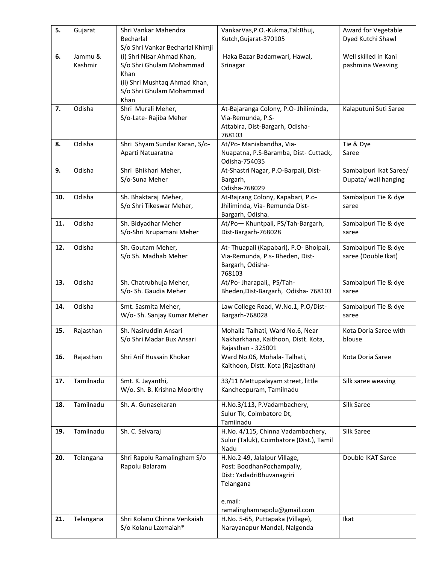| 5.  | Gujarat            | Shri Vankar Mahendra<br>Becharlal                                                                                                                                       | VankarVas, P.O.-Kukma, Tal: Bhuj,<br>Kutch, Gujarat-370105                                                     | Award for Vegetable<br>Dyed Kutchi Shawl       |
|-----|--------------------|-------------------------------------------------------------------------------------------------------------------------------------------------------------------------|----------------------------------------------------------------------------------------------------------------|------------------------------------------------|
| 6.  | Jammu &<br>Kashmir | S/o Shri Vankar Becharlal Khimji<br>(i) Shri Nisar Ahmad Khan,<br>S/o Shri Ghulam Mohammad<br>Khan<br>(ii) Shri Mushtaq Ahmad Khan,<br>S/o Shri Ghulam Mohammad<br>Khan | Haka Bazar Badamwari, Hawal,<br>Srinagar                                                                       | Well skilled in Kani<br>pashmina Weaving       |
| 7.  | Odisha             | Shri Murali Meher,<br>S/o-Late- Rajiba Meher                                                                                                                            | At-Bajaranga Colony, P.O- Jhiliminda,<br>Via-Remunda, P.S-<br>Attabira, Dist-Bargarh, Odisha-<br>768103        | Kalaputuni Suti Saree                          |
| 8.  | Odisha             | Shri Shyam Sundar Karan, S/o-<br>Aparti Natuaratna                                                                                                                      | At/Po- Maniabandha, Via-<br>Nuapatna, P.S-Baramba, Dist- Cuttack,<br>Odisha-754035                             | Tie & Dye<br>Saree                             |
| 9.  | Odisha             | Shri Bhikhari Meher,<br>S/o-Suna Meher                                                                                                                                  | At-Shastri Nagar, P.O-Barpali, Dist-<br>Bargarh,<br>Odisha-768029                                              | Sambalpuri Ikat Saree/<br>Dupata/ wall hanging |
| 10. | Odisha             | Sh. Bhaktaraj Meher,<br>S/o Shri Tikeswar Meher,                                                                                                                        | At-Bajrang Colony, Kapabari, P.o-<br>Jhiliminda, Via- Remunda Dist-<br>Bargarh, Odisha.                        | Sambalpuri Tie & dye<br>saree                  |
| 11. | Odisha             | Sh. Bidyadhar Meher<br>S/o-Shri Nrupamani Meher                                                                                                                         | At/Po-Khuntpali, PS/Tah-Bargarh,<br>Dist-Bargarh-768028                                                        | Sambalpuri Tie & dye<br>saree                  |
| 12. | Odisha             | Sh. Goutam Meher,<br>S/o Sh. Madhab Meher                                                                                                                               | At-Thuapali (Kapabari), P.O-Bhoipali,<br>Via-Remunda, P.s- Bheden, Dist-<br>Bargarh, Odisha-<br>768103         | Sambalpuri Tie & dye<br>saree (Double Ikat)    |
| 13. | Odisha             | Sh. Chatrubhuja Meher,<br>S/o-Sh. Gaudia Meher                                                                                                                          | At/Po- Jharapali,, PS/Tah-<br>Bheden, Dist-Bargarh, Odisha- 768103                                             | Sambalpuri Tie & dye<br>saree                  |
| 14. | Odisha             | Smt. Sasmita Meher,<br>W/o- Sh. Sanjay Kumar Meher                                                                                                                      | Law College Road, W.No.1, P.O/Dist-<br>Bargarh-768028                                                          | Sambalpuri Tie & dye<br>saree                  |
| 15. | Rajasthan          | Sh. Nasiruddin Ansari<br>S/o Shri Madar Bux Ansari                                                                                                                      | Mohalla Talhati, Ward No.6, Near<br>Nakharkhana, Kaithoon, Distt. Kota,<br>Rajasthan - 325001                  | Kota Doria Saree with<br>blouse                |
| 16. | Rajasthan          | Shri Arif Hussain Khokar                                                                                                                                                | Ward No.06, Mohala-Talhati,<br>Kaithoon, Distt. Kota (Rajasthan)                                               | Kota Doria Saree                               |
| 17. | Tamilnadu          | Smt. K. Jayanthi,<br>W/o. Sh. B. Krishna Moorthy                                                                                                                        | 33/11 Mettupalayam street, little<br>Kancheepuram, Tamilnadu                                                   | Silk saree weaving                             |
| 18. | Tamilnadu          | Sh. A. Gunasekaran                                                                                                                                                      | H.No.3/113, P.Vadambachery,<br>Sulur Tk, Coimbatore Dt,<br>Tamilnadu                                           | Silk Saree                                     |
| 19. | Tamilnadu          | Sh. C. Selvaraj                                                                                                                                                         | H.No. 4/115, Chinna Vadambachery,<br>Sulur (Taluk), Coimbatore (Dist.), Tamil<br>Nadu                          | Silk Saree                                     |
| 20. | Telangana          | Shri Rapolu Ramalingham S/o<br>Rapolu Balaram                                                                                                                           | H.No.2-49, Jalalpur Village,<br>Post: BoodhanPochampally,<br>Dist: YadadriBhuvanagriri<br>Telangana<br>e.mail: | Double IKAT Saree                              |
| 21. | Telangana          | Shri Kolanu Chinna Venkaiah<br>S/o Kolanu Laxmaiah*                                                                                                                     | ramalinghamrapolu@gmail.com<br>H.No. 5-65, Puttapaka (Village),<br>Narayanapur Mandal, Nalgonda                | Ikat                                           |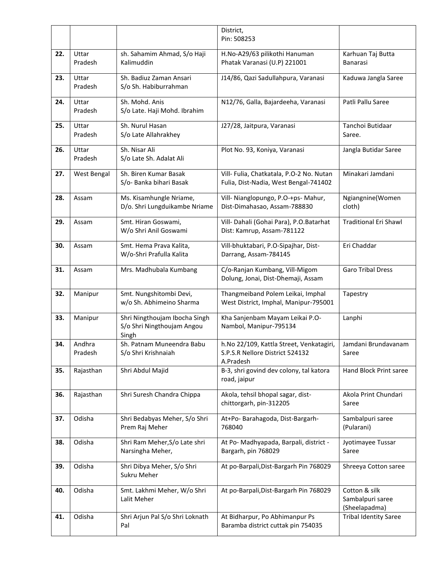|     |                   |                                                                      | District,<br>Pin: 508253                                                                 |                                                    |
|-----|-------------------|----------------------------------------------------------------------|------------------------------------------------------------------------------------------|----------------------------------------------------|
| 22. | Uttar<br>Pradesh  | sh. Sahamim Ahmad, S/o Haji<br>Kalimuddin                            | H.No-A29/63 pilikothi Hanuman<br>Phatak Varanasi (U.P) 221001                            | Karhuan Taj Butta<br>Banarasi                      |
| 23. | Uttar<br>Pradesh  | Sh. Badiuz Zaman Ansari<br>S/o Sh. Habiburrahman                     | J14/86, Qazi Sadullahpura, Varanasi                                                      | Kaduwa Jangla Saree                                |
| 24. | Uttar<br>Pradesh  | Sh. Mohd. Anis<br>S/o Late. Haji Mohd. Ibrahim                       | N12/76, Galla, Bajardeeha, Varanasi                                                      | Patli Pallu Saree                                  |
| 25. | Uttar<br>Pradesh  | Sh. Nurul Hasan<br>S/o Late Allahrakhey                              | J27/28, Jaitpura, Varanasi                                                               | Tanchoi Butidaar<br>Saree.                         |
| 26. | Uttar<br>Pradesh  | Sh. Nisar Ali<br>S/o Late Sh. Adalat Ali                             | Plot No. 93, Koniya, Varanasi                                                            | Jangla Butidar Saree                               |
| 27. | West Bengal       | Sh. Biren Kumar Basak<br>S/o- Banka bihari Basak                     | Vill- Fulia, Chatkatala, P.O-2 No. Nutan<br>Fulia, Dist-Nadia, West Bengal-741402        | Minakari Jamdani                                   |
| 28. | Assam             | Ms. Kisamhungle Nriame,<br>D/o. Shri Lungduikambe Nriame             | Vill- Nianglopungo, P.O-+ps- Mahur,<br>Dist-Dimahasao, Assam-788830                      | Ngiangnine(Women<br>cloth)                         |
| 29. | Assam             | Smt. Hiran Goswami,<br>W/o Shri Anil Goswami                         | Vill- Dahali (Gohai Para), P.O.Batarhat<br>Dist: Kamrup, Assam-781122                    | <b>Traditional Eri Shawl</b>                       |
| 30. | Assam             | Smt. Hema Prava Kalita,<br>W/o-Shri Prafulla Kalita                  | Vill-bhuktabari, P.O-Sipajhar, Dist-<br>Darrang, Assam-784145                            | Eri Chaddar                                        |
| 31. | Assam             | Mrs. Madhubala Kumbang                                               | C/o-Ranjan Kumbang, Vill-Migom<br>Dolung, Jonai, Dist-Dhemaji, Assam                     | Garo Tribal Dress                                  |
| 32. | Manipur           | Smt. Nungshitombi Devi,<br>w/o Sh. Abhimeino Sharma                  | Thangmeiband Polem Leikai, Imphal<br>West District, Imphal, Manipur-795001               | Tapestry                                           |
| 33. | Manipur           | Shri Ningthoujam Ibocha Singh<br>S/o Shri Ningthoujam Angou<br>Singh | Kha Sanjenbam Mayam Leikai P.O-<br>Nambol, Manipur-795134                                | Lanphi                                             |
| 34. | Andhra<br>Pradesh | Sh. Patnam Muneendra Babu<br>S/o Shri Krishnaiah                     | h.No 22/109, Kattla Street, Venkatagiri,<br>S.P.S.R Nellore District 524132<br>A.Pradesh | Jamdani Brundavanam<br>Saree                       |
| 35. | Rajasthan         | Shri Abdul Majid                                                     | B-3, shri govind dev colony, tal katora<br>road, jaipur                                  | Hand Block Print saree                             |
| 36. | Rajasthan         | Shri Suresh Chandra Chippa                                           | Akola, tehsil bhopal sagar, dist-<br>chittorgarh, pin-312205                             | Akola Print Chundari<br>Saree                      |
| 37. | Odisha            | Shri Bedabyas Meher, S/o Shri<br>Prem Raj Meher                      | At+Po- Barahagoda, Dist-Bargarh-<br>768040                                               | Sambalpuri saree<br>(Pularani)                     |
| 38. | Odisha            | Shri Ram Meher, S/o Late shri<br>Narsingha Meher,                    | At Po- Madhyapada, Barpali, district -<br>Bargarh, pin 768029                            | Jyotimayee Tussar<br>Saree                         |
| 39. | Odisha            | Shri Dibya Meher, S/o Shri<br>Sukru Meher                            | At po-Barpali, Dist-Bargarh Pin 768029                                                   | Shreeya Cotton saree                               |
| 40. | Odisha            | Smt. Lakhmi Meher, W/o Shri<br>Lalit Meher                           | At po-Barpali, Dist-Bargarh Pin 768029                                                   | Cotton & silk<br>Sambalpuri saree<br>(Sheelapadma) |
| 41. | Odisha            | Shri Arjun Pal S/o Shri Loknath<br>Pal                               | At Bidharpur, Po Abhimanpur Ps<br>Baramba district cuttak pin 754035                     | <b>Tribal Identity Saree</b>                       |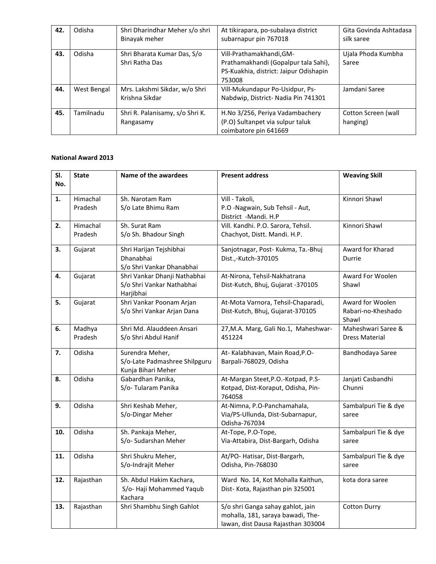| 42. | Odisha      | Shri Dharindhar Meher s/o shri<br>Binayak meher | At tikirapara, po-subalaya district<br>subarnapur pin 767018                                                         | Gita Govinda Ashtadasa<br>silk saree |
|-----|-------------|-------------------------------------------------|----------------------------------------------------------------------------------------------------------------------|--------------------------------------|
| 43. | Odisha      | Shri Bharata Kumar Das, S/o<br>Shri Ratha Das   | Vill-Prathamakhandi, GM-<br>Prathamakhandi (Gopalpur tala Sahi),<br>PS-Kuakhia, district: Jaipur Odishapin<br>753008 | Ujala Phoda Kumbha<br>Saree          |
| 44. | West Bengal | Mrs. Lakshmi Sikdar, w/o Shri<br>Krishna Sikdar | Vill-Mukundapur Po-Usidpur, Ps-<br>Nabdwip, District- Nadia Pin 741301                                               | Jamdani Saree                        |
| 45. | Tamilnadu   | Shri R. Palanisamy, s/o Shri K.<br>Rangasamy    | H.No 3/256, Periya Vadambachery<br>(P.O) Sultanpet via sulpur taluk<br>coimbatore pin 641669                         | Cotton Screen (wall<br>hanging)      |

| SI. | <b>State</b> | Name of the awardees          | <b>Present address</b>               | <b>Weaving Skill</b>  |
|-----|--------------|-------------------------------|--------------------------------------|-----------------------|
| No. |              |                               |                                      |                       |
| 1.  | Himachal     | Sh. Narotam Ram               | Vill - Takoli,                       | Kinnori Shawl         |
|     | Pradesh      | S/o Late Bhimu Ram            | P.O -Nagwain, Sub Tehsil - Aut,      |                       |
|     |              |                               | District -Mandi. H.P                 |                       |
| 2.  | Himachal     | Sh. Surat Ram                 | Vill. Kandhi. P.O. Sarora, Tehsil.   | Kinnori Shawl         |
|     | Pradesh      | S/o Sh. Bhadour Singh         | Chachyot, Distt. Mandi. H.P.         |                       |
| 3.  | Gujarat      | Shri Harijan Tejshibhai       | Sanjotnagar, Post-Kukma, Ta.-Bhuj    | Award for Kharad      |
|     |              | Dhanabhai                     | Dist.,-Kutch-370105                  | Durrie                |
|     |              | S/o Shri Vankar Dhanabhai     |                                      |                       |
| 4.  | Gujarat      | Shri Vankar Dhanji Nathabhai  | At-Nirona, Tehsil-Nakhatrana         | Award For Woolen      |
|     |              | S/o Shri Vankar Nathabhai     | Dist-Kutch, Bhuj, Gujarat -370105    | Shawl                 |
|     |              | Harjibhai                     |                                      |                       |
| 5.  | Gujarat      | Shri Vankar Poonam Arjan      | At-Mota Varnora, Tehsil-Chaparadi,   | Award for Woolen      |
|     |              | S/o Shri Vankar Arjan Dana    | Dist-Kutch, Bhuj, Gujarat-370105     | Rabari-no-Kheshado    |
|     |              |                               |                                      | Shawl                 |
| 6.  | Madhya       | Shri Md. Alauddeen Ansari     | 27, M.A. Marg, Gali No.1, Maheshwar- | Maheshwari Saree &    |
|     | Pradesh      | S/o Shri Abdul Hanif          | 451224                               | <b>Dress Material</b> |
| 7.  | Odisha       | Surendra Meher,               | At-Kalabhavan, Main Road, P.O-       | Bandhodaya Saree      |
|     |              | S/o-Late Padmashree Shilpguru | Barpali-768029, Odisha               |                       |
|     |              | Kunja Bihari Meher            |                                      |                       |
| 8.  | Odisha       | Gabardhan Panika,             | At-Margan Steet, P.O.-Kotpad, P.S-   | Janjati Casbandhi     |
|     |              | S/o-Tularam Panika            | Kotpad, Dist-Koraput, Odisha, Pin-   | Chunni                |
|     |              |                               | 764058                               |                       |
| 9.  | Odisha       | Shri Keshab Meher,            | At-Nimna, P.O-Panchamahala,          | Sambalpuri Tie & dye  |
|     |              | S/o-Dingar Meher              | Via/PS-Ullunda, Dist-Subarnapur,     | saree                 |
|     |              |                               | Odisha-767034                        |                       |
| 10. | Odisha       | Sh. Pankaja Meher,            | At-Tope, P.O-Tope,                   | Sambalpuri Tie & dye  |
|     |              | S/o- Sudarshan Meher          | Via-Attabira, Dist-Bargarh, Odisha   | saree                 |
| 11. | Odisha       | Shri Shukru Meher,            | At/PO- Hatisar, Dist-Bargarh,        | Sambalpuri Tie & dye  |
|     |              | S/o-Indrajit Meher            | Odisha, Pin-768030                   | saree                 |
|     |              |                               |                                      |                       |
| 12. | Rajasthan    | Sh. Abdul Hakim Kachara,      | Ward No. 14, Kot Mohalla Kaithun,    | kota dora saree       |
|     |              | S/o- Haji Mohammed Yaqub      | Dist-Kota, Rajasthan pin 325001      |                       |
|     |              | Kachara                       |                                      |                       |
| 13. | Rajasthan    | Shri Shambhu Singh Gahlot     | S/o shri Ganga sahay gahlot, jain    | <b>Cotton Durry</b>   |
|     |              |                               | mohalla, 181, saraya bawadi, The-    |                       |
|     |              |                               | lawan, dist Dausa Rajasthan 303004   |                       |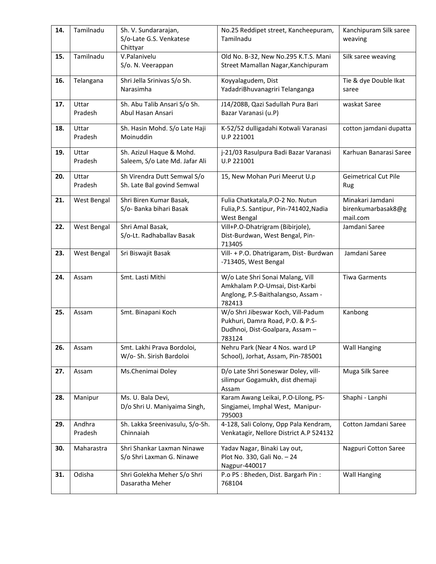| 14. | Tamilnadu          | Sh. V. Sundararajan,<br>S/o-Late G.S. Venkatese<br>Chittyar | No.25 Reddipet street, Kancheepuram,<br>Tamilnadu                                                                   | Kanchipuram Silk saree<br>weaving                  |
|-----|--------------------|-------------------------------------------------------------|---------------------------------------------------------------------------------------------------------------------|----------------------------------------------------|
| 15. | Tamilnadu          | V.Palanivelu<br>S/o. N. Veerappan                           | Old No. B-32, New No.295 K.T.S. Mani<br>Street Mamallan Nagar, Kanchipuram                                          | Silk saree weaving                                 |
| 16. | Telangana          | Shri Jella Srinivas S/o Sh.<br>Narasimha                    | Koyyalagudem, Dist<br>YadadriBhuvanagriri Telanganga                                                                | Tie & dye Double Ikat<br>saree                     |
| 17. | Uttar<br>Pradesh   | Sh. Abu Talib Ansari S/o Sh.<br>Abul Hasan Ansari           | J14/208B, Qazi Sadullah Pura Bari<br>Bazar Varanasi (u.P)                                                           | waskat Saree                                       |
| 18. | Uttar<br>Pradesh   | Sh. Hasin Mohd. S/o Late Haji<br>Moinuddin                  | K-52/52 dulligadahi Kotwali Varanasi<br>U.P 221001                                                                  | cotton jamdani dupatta                             |
| 19. | Uttar<br>Pradesh   | Sh. Azizul Haque & Mohd.<br>Saleem, S/o Late Md. Jafar Ali  | j-21/03 Rasulpura Badi Bazar Varanasi<br>U.P 221001                                                                 | Karhuan Banarasi Saree                             |
| 20. | Uttar<br>Pradesh   | Sh Virendra Dutt Semwal S/o<br>Sh. Late Bal govind Semwal   | 15, New Mohan Puri Meerut U.p                                                                                       | <b>Geimetrical Cut Pile</b><br>Rug                 |
| 21. | <b>West Bengal</b> | Shri Biren Kumar Basak,<br>S/o- Banka bihari Basak          | Fulia Chatkatala, P.O-2 No. Nutun<br>Fulia, P.S. Santipur, Pin-741402, Nadia<br>West Bengal                         | Minakari Jamdani<br>birenkumarbasak8@g<br>mail.com |
| 22. | <b>West Bengal</b> | Shri Amal Basak,<br>S/o-Lt. Radhaballav Basak               | Vill+P.O-Dhatrigram (Bibirjole),<br>Dist-Burdwan, West Bengal, Pin-<br>713405                                       | Jamdani Saree                                      |
| 23. | <b>West Bengal</b> | Sri Biswajit Basak                                          | Vill- + P.O. Dhatrigaram, Dist- Burdwan<br>-713405, West Bengal                                                     | Jamdani Saree                                      |
| 24. | Assam              | Smt. Lasti Mithi                                            | W/o Late Shri Sonai Malang, Vill<br>Amkhalam P.O-Umsai, Dist-Karbi<br>Anglong, P.S-Baithalangso, Assam -<br>782413  | <b>Tiwa Garments</b>                               |
| 25. | Assam              | Smt. Binapani Koch                                          | W/o Shri Jibeswar Koch, Vill-Padum<br>Pukhuri, Damra Road, P.O. & P.S-<br>Dudhnoi, Dist-Goalpara, Assam -<br>783124 | Kanbong                                            |
| 26. | Assam              | Smt. Lakhi Prava Bordoloi,<br>W/o- Sh. Sirish Bardoloi      | Nehru Park (Near 4 Nos. ward LP<br>School), Jorhat, Assam, Pin-785001                                               | <b>Wall Hanging</b>                                |
| 27. | Assam              | Ms.Chenimai Doley                                           | D/o Late Shri Soneswar Doley, vill-<br>silimpur Gogamukh, dist dhemaji<br>Assam                                     | Muga Silk Saree                                    |
| 28. | Manipur            | Ms. U. Bala Devi,<br>D/o Shri U. Maniyaima Singh,           | Karam Awang Leikai, P.O-Lilong, PS-<br>Singjamei, Imphal West, Manipur-<br>795003                                   | Shaphi - Lanphi                                    |
| 29. | Andhra<br>Pradesh  | Sh. Lakka Sreenivasulu, S/o-Sh.<br>Chinnaiah                | 4-128, Sali Colony, Opp Pala Kendram,<br>Venkatagir, Nellore District A.P 524132                                    | Cotton Jamdani Saree                               |
| 30. | Maharastra         | Shri Shankar Laxman Ninawe<br>S/o Shri Laxman G. Ninawe     | Yadav Nagar, Binaki Lay out,<br>Plot No. 330, Gali No. - 24<br>Nagpur-440017                                        | Nagpuri Cotton Saree                               |
| 31. | Odisha             | Shri Golekha Meher S/o Shri<br>Dasaratha Meher              | P.o PS : Bheden, Dist. Bargarh Pin :<br>768104                                                                      | <b>Wall Hanging</b>                                |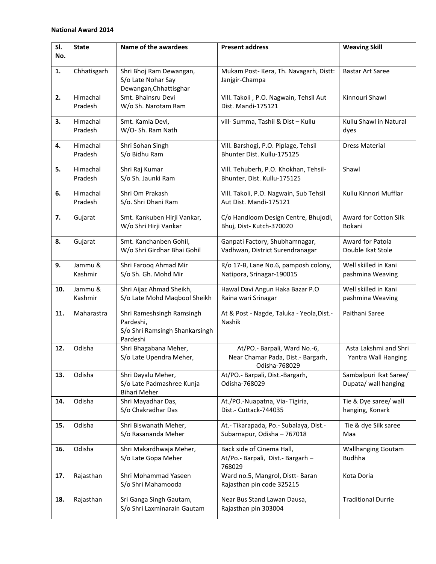| SI. | <b>State</b> | Name of the awardees              | <b>Present address</b>                    | <b>Weaving Skill</b>      |
|-----|--------------|-----------------------------------|-------------------------------------------|---------------------------|
| No. |              |                                   |                                           |                           |
|     |              |                                   |                                           |                           |
| 1.  | Chhatisgarh  | Shri Bhoj Ram Dewangan,           | Mukam Post-Kera, Th. Navagarh, Distt:     | <b>Bastar Art Saree</b>   |
|     |              | S/o Late Nohar Say                | Janjgir-Champa                            |                           |
|     |              | Dewangan, Chhattisghar            |                                           |                           |
| 2.  | Himachal     | Smt. Bhainsru Devi                | Vill. Takoli, P.O. Nagwain, Tehsil Aut    | Kinnouri Shawl            |
|     | Pradesh      | W/o Sh. Narotam Ram               | Dist. Mandi-175121                        |                           |
| 3.  | Himachal     | Smt. Kamla Devi,                  | vill- Summa, Tashil & Dist - Kullu        | Kullu Shawl in Natural    |
|     | Pradesh      | W/O-Sh. Ram Nath                  |                                           | dyes                      |
|     |              |                                   |                                           |                           |
| 4.  | Himachal     | Shri Sohan Singh                  | Vill. Barshogi, P.O. Piplage, Tehsil      | <b>Dress Material</b>     |
|     | Pradesh      | S/o Bidhu Ram                     | Bhunter Dist. Kullu-175125                |                           |
| 5.  | Himachal     | Shri Raj Kumar                    | Vill. Tehuberh, P.O. Khokhan, Tehsil-     | Shawl                     |
|     | Pradesh      | S/o Sh. Jaunki Ram                | Bhunter, Dist. Kullu-175125               |                           |
|     |              |                                   |                                           |                           |
| 6.  | Himachal     | Shri Om Prakash                   | Vill. Takoli, P.O. Nagwain, Sub Tehsil    | Kullu Kinnori Mufflar     |
|     | Pradesh      | S/o. Shri Dhani Ram               | Aut Dist. Mandi-175121                    |                           |
| 7.  | Gujarat      | Smt. Kankuben Hirji Vankar,       | C/o Handloom Design Centre, Bhujodi,      | Award for Cotton Silk     |
|     |              | W/o Shri Hirji Vankar             | Bhuj, Dist-Kutch-370020                   | Bokani                    |
|     |              |                                   |                                           |                           |
| 8.  | Gujarat      | Smt. Kanchanben Gohil,            | Ganpati Factory, Shubhamnagar,            | Award for Patola          |
|     |              | W/o Shri Girdhar Bhai Gohil       | Vadhwan, District Surendranagar           | Double Ikat Stole         |
|     |              |                                   |                                           |                           |
| 9.  | Jammu &      | Shri Farooq Ahmad Mir             | R/o 17-B, Lane No.6, pamposh colony,      | Well skilled in Kani      |
|     | Kashmir      | S/o Sh. Gh. Mohd Mir              | Natipora, Srinagar-190015                 | pashmina Weaving          |
| 10. | Jammu &      | Shri Aijaz Ahmad Sheikh,          | Hawal Davi Angun Haka Bazar P.O           | Well skilled in Kani      |
|     | Kashmir      | S/o Late Mohd Maqbool Sheikh      | Raina wari Srinagar                       | pashmina Weaving          |
|     |              |                                   |                                           |                           |
| 11. | Maharastra   | Shri Rameshsingh Ramsingh         | At & Post - Nagde, Taluka - Yeola, Dist.- | Paithani Saree            |
|     |              | Pardeshi,                         | <b>Nashik</b>                             |                           |
|     |              | S/o Shri Ramsingh Shankarsingh    |                                           |                           |
| 12. | Odisha       | Pardeshi<br>Shri Bhagabana Meher, | At/PO .- Barpali, Ward No.-6,             | Asta Lakshmi and Shri     |
|     |              | S/o Late Upendra Meher,           | Near Chamar Pada, Dist.- Bargarh,         | Yantra Wall Hanging       |
|     |              |                                   | Odisha-768029                             |                           |
| 13. | Odisha       | Shri Dayalu Meher,                | At/PO.- Barpali, Dist.-Bargarh,           | Sambalpuri Ikat Saree/    |
|     |              | S/o Late Padmashree Kunja         | Odisha-768029                             | Dupata/ wall hanging      |
|     |              | <b>Bihari Meher</b>               |                                           |                           |
| 14. | Odisha       | Shri Mayadhar Das,                | At./PO.-Nuapatna, Via- Tigiria,           | Tie & Dye saree/ wall     |
|     |              | S/o Chakradhar Das                | Dist.- Cuttack-744035                     | hanging, Konark           |
|     |              |                                   |                                           |                           |
| 15. | Odisha       | Shri Biswanath Meher,             | At.- Tikarapada, Po.- Subalaya, Dist.-    | Tie & dye Silk saree      |
|     |              | S/o Rasananda Meher               | Subarnapur, Odisha - 767018               | Maa                       |
| 16. | Odisha       | Shri Makardhwaja Meher,           | Back side of Cinema Hall,                 | <b>Wallhanging Goutam</b> |
|     |              | S/o Late Gopa Meher               | At/Po.- Barpali, Dist.- Bargarh -         | <b>Budhha</b>             |
|     |              |                                   | 768029                                    |                           |
| 17. | Rajasthan    | Shri Mohammad Yaseen              | Ward no.5, Mangrol, Distt- Baran          | Kota Doria                |
|     |              | S/o Shri Mahamooda                | Rajasthan pin code 325215                 |                           |
|     |              |                                   |                                           |                           |
| 18. | Rajasthan    | Sri Ganga Singh Gautam,           | Near Bus Stand Lawan Dausa,               | <b>Traditional Durrie</b> |
|     |              | S/o Shri Laxminarain Gautam       | Rajasthan pin 303004                      |                           |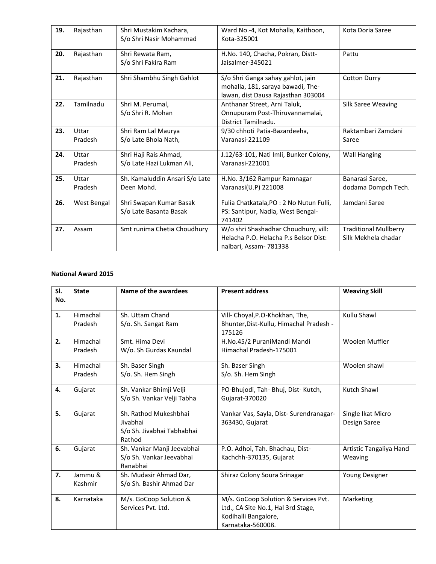| 19. | Rajasthan        | Shri Mustakim Kachara,<br>S/o Shri Nasir Mohammad  | Ward No.-4, Kot Mohalla, Kaithoon,<br>Kota-325001                                                            | Kota Doria Saree                                    |
|-----|------------------|----------------------------------------------------|--------------------------------------------------------------------------------------------------------------|-----------------------------------------------------|
| 20. | Rajasthan        | Shri Rewata Ram,<br>S/o Shri Fakira Ram            | H.No. 140, Chacha, Pokran, Distt-<br>Jaisalmer-345021                                                        | Pattu                                               |
| 21. | Rajasthan        | Shri Shambhu Singh Gahlot                          | S/o Shri Ganga sahay gahlot, jain<br>mohalla, 181, saraya bawadi, The-<br>lawan, dist Dausa Rajasthan 303004 | <b>Cotton Durry</b>                                 |
| 22. | Tamilnadu        | Shri M. Perumal,<br>S/o Shri R. Mohan              | Anthanar Street, Arni Taluk,<br>Onnupuram Post-Thiruvannamalai,<br>District Tamilnadu.                       | Silk Saree Weaving                                  |
| 23. | Uttar<br>Pradesh | Shri Ram Lal Maurya<br>S/o Late Bhola Nath,        | 9/30 chhoti Patia-Bazardeeha,<br>Varanasi-221109                                                             | Raktambari Zamdani<br>Saree                         |
| 24. | Uttar<br>Pradesh | Shri Haji Rais Ahmad,<br>S/o Late Hazi Lukman Ali, | J.12/63-101, Nati Imli, Bunker Colony,<br>Varanasi-221001                                                    | <b>Wall Hanging</b>                                 |
| 25. | Uttar<br>Pradesh | Sh. Kamaluddin Ansari S/o Late<br>Deen Mohd.       | H.No. 3/162 Rampur Ramnagar<br>Varanasi(U.P) 221008                                                          | Banarasi Saree,<br>dodama Dompch Tech.              |
| 26. | West Bengal      | Shri Swapan Kumar Basak<br>S/o Late Basanta Basak  | Fulia Chatkatala, PO : 2 No Nutun Fulli,<br>PS: Santipur, Nadia, West Bengal-<br>741402                      | Jamdani Saree                                       |
| 27. | Assam            | Smt runima Chetia Choudhury                        | W/o shri Shashadhar Choudhury, vill:<br>Helacha P.O. Helacha P.s Belsor Dist:<br>nalbari, Assam- 781338      | <b>Traditional Mullberry</b><br>Silk Mekhela chadar |

| SI.<br>No. | <b>State</b>        | Name of the awardees                                                      | <b>Present address</b>                                                                                                  | <b>Weaving Skill</b>               |
|------------|---------------------|---------------------------------------------------------------------------|-------------------------------------------------------------------------------------------------------------------------|------------------------------------|
|            |                     |                                                                           |                                                                                                                         |                                    |
| 1.         | Himachal<br>Pradesh | Sh. Uttam Chand<br>S/o. Sh. Sangat Ram                                    | Vill- Choyal, P.O-Khokhan, The,<br>Bhunter, Dist-Kullu, Himachal Pradesh -<br>175126                                    | Kullu Shawl                        |
| 2.         | Himachal<br>Pradesh | Smt. Hima Devi<br>W/o. Sh Gurdas Kaundal                                  | H.No.45/2 PuraniMandi Mandi<br>Himachal Pradesh-175001                                                                  | Woolen Muffler                     |
| 3.         | Himachal<br>Pradesh | Sh. Baser Singh<br>S/o. Sh. Hem Singh                                     | Sh. Baser Singh<br>S/o. Sh. Hem Singh                                                                                   | Woolen shawl                       |
| 4.         | Gujarat             | Sh. Vankar Bhimji Velji<br>S/o Sh. Vankar Velji Tabha                     | PO-Bhujodi, Tah- Bhuj, Dist- Kutch,<br>Gujarat-370020                                                                   | Kutch Shawl                        |
| 5.         | Gujarat             | Sh. Rathod Mukeshbhai<br>Jivabhai<br>S/o Sh. Jivabhai Tabhabhai<br>Rathod | Vankar Vas, Sayla, Dist- Surendranagar-<br>363430, Gujarat                                                              | Single Ikat Micro<br>Design Saree  |
| 6.         | Gujarat             | Sh. Vankar Manji Jeevabhai<br>S/o Sh. Vankar Jeevabhai<br>Ranabhai        | P.O. Adhoi, Tah. Bhachau, Dist-<br>Kachchh-370135, Gujarat                                                              | Artistic Tangaliya Hand<br>Weaving |
| 7.         | Jammu &<br>Kashmir  | Sh. Mudasir Ahmad Dar,<br>S/o Sh. Bashir Ahmad Dar                        | Shiraz Colony Soura Srinagar                                                                                            | Young Designer                     |
| 8.         | Karnataka           | M/s. GoCoop Solution &<br>Services Pvt. Ltd.                              | M/s. GoCoop Solution & Services Pvt.<br>Ltd., CA Site No.1, Hal 3rd Stage,<br>Kodihalli Bangalore,<br>Karnataka-560008. | Marketing                          |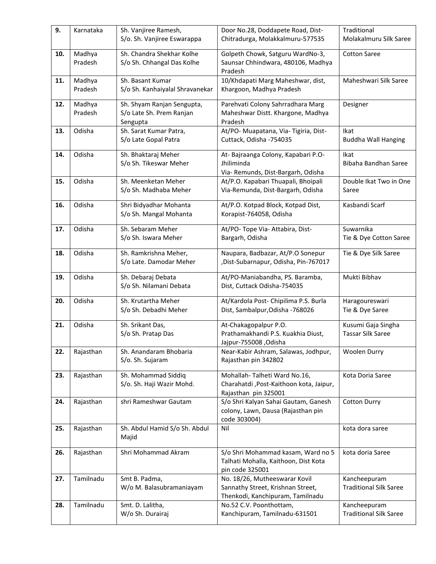| 9.  | Karnataka         | Sh. Vanjiree Ramesh,<br>S/o. Sh. Vanjiree Eswarappa                | Door No.28, Doddapete Road, Dist-<br>Chitradurga, Molakkalmuru-577535                                  | Traditional<br>Molakalmuru Silk Saree          |
|-----|-------------------|--------------------------------------------------------------------|--------------------------------------------------------------------------------------------------------|------------------------------------------------|
| 10. | Madhya<br>Pradesh | Sh. Chandra Shekhar Kolhe<br>S/o Sh. Chhangal Das Kolhe            | Golpeth Chowk, Satguru WardNo-3,<br>Saunsar Chhindwara, 480106, Madhya<br>Pradesh                      | <b>Cotton Saree</b>                            |
| 11. | Madhya<br>Pradesh | Sh. Basant Kumar<br>S/o Sh. Kanhaiyalal Shravanekar                | 10/Khdapati Marg Maheshwar, dist,<br>Khargoon, Madhya Pradesh                                          | Maheshwari Silk Saree                          |
| 12. | Madhya<br>Pradesh | Sh. Shyam Ranjan Sengupta,<br>S/o Late Sh. Prem Ranjan<br>Sengupta | Parehvati Colony Sahrradhara Marg<br>Maheshwar Distt. Khargone, Madhya<br>Pradesh                      | Designer                                       |
| 13. | Odisha            | Sh. Sarat Kumar Patra,<br>S/o Late Gopal Patra                     | At/PO- Muapatana, Via- Tigiria, Dist-<br>Cuttack, Odisha -754035                                       | Ikat<br><b>Buddha Wall Hanging</b>             |
| 14. | Odisha            | Sh. Bhaktaraj Meher<br>S/o Sh. Tikeswar Meher                      | At- Bajraanga Colony, Kapabari P.O-<br>Jhiliminda<br>Via- Remunds, Dist-Bargarh, Odisha                | Ikat<br>Bibaha Bandhan Saree                   |
| 15. | Odisha            | Sh. Meenketan Meher<br>S/o Sh. Madhaba Meher                       | At/P.O. Kapabari Thuapali, Bhoipali<br>Via-Remunda, Dist-Bargarh, Odisha                               | Double Ikat Two in One<br>Saree                |
| 16. | Odisha            | Shri Bidyadhar Mohanta<br>S/o Sh. Mangal Mohanta                   | At/P.O. Kotpad Block, Kotpad Dist,<br>Korapist-764058, Odisha                                          | Kasbandi Scarf                                 |
| 17. | Odisha            | Sh. Sebaram Meher<br>S/o Sh. Iswara Meher                          | At/PO- Tope Via- Attabira, Dist-<br>Bargarh, Odisha                                                    | Suwarnika<br>Tie & Dye Cotton Saree            |
| 18. | Odisha            | Sh. Ramkrishna Meher,<br>S/o Late. Damodar Meher                   | Naupara, Badbazar, At/P.O Sonepur<br>,Dist-Subarnapur, Odisha, Pin-767017                              | Tie & Dye Silk Saree                           |
| 19. | Odisha            | Sh. Debaraj Debata<br>S/o Sh. Nilamani Debata                      | At/PO-Maniabandha, PS. Baramba,<br>Dist, Cuttack Odisha-754035                                         | Mukti Bibhav                                   |
| 20. | Odisha            | Sh. Krutartha Meher<br>S/o Sh. Debadhi Meher                       | At/Kardola Post- Chipilima P.S. Burla<br>Dist, Sambalpur, Odisha - 768026                              | Haragoureswari<br>Tie & Dye Saree              |
| 21. | Odisha            | Sh. Srikant Das,<br>S/o Sh. Pratap Das                             | At-Chakagopalpur P.O.<br>Prathamakhandi P.S. Kuakhia Diust,<br>Jajpur-755008, Odisha                   | Kusumi Gaja Singha<br><b>Tassar Silk Saree</b> |
| 22. | Rajasthan         | Sh. Anandaram Bhobaria<br>S/o. Sh. Sujaram                         | Near-Kabir Ashram, Salawas, Jodhpur,<br>Rajasthan pin 342802                                           | Woolen Durry                                   |
| 23. | Rajasthan         | Sh. Mohammad Siddiq<br>S/o. Sh. Haji Wazir Mohd.                   | Mohallah-Talheti Ward No.16,<br>Charahatdi, Post-Kaithoon kota, Jaipur,<br>Rajasthan pin 325001        | Kota Doria Saree                               |
| 24. | Rajasthan         | shri Rameshwar Gautam                                              | S/o Shri Kalyan Sahai Gautam, Ganesh<br>colony, Lawn, Dausa (Rajasthan pin<br>code 303004)             | <b>Cotton Durry</b>                            |
| 25. | Rajasthan         | Sh. Abdul Hamid S/o Sh. Abdul<br>Majid                             | Nil                                                                                                    | kota dora saree                                |
| 26. | Rajasthan         | Shri Mohammad Akram                                                | S/o Shri Mohammad kasam, Ward no 5<br>Talhati Mohalla, Kaithoon, Dist Kota<br>pin code 325001          | kota doria Saree                               |
| 27. | Tamilnadu         | Smt B. Padma,<br>W/o M. Balasubramaniayam                          | No. 18/26, Mutheeswarar Kovil<br>Sannathy Street, Krishnan Street,<br>Thenkodi, Kanchipuram, Tamilnadu | Kancheepuram<br><b>Traditional Silk Saree</b>  |
| 28. | Tamilnadu         | Smt. D. Lalitha,<br>W/o Sh. Durairaj                               | No.52 C.V. Poonthottam,<br>Kanchipuram, Tamilnadu-631501                                               | Kancheepuram<br><b>Traditional Silk Saree</b>  |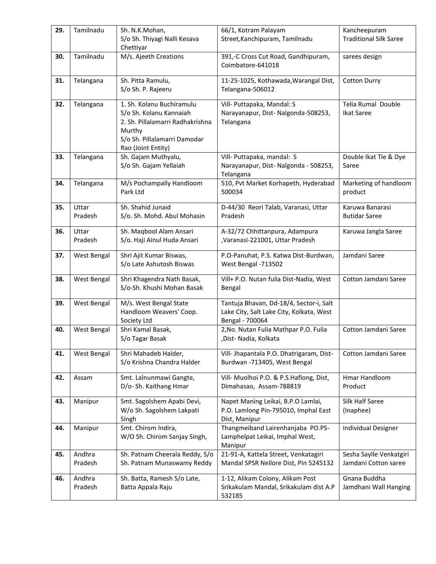| 29. | Tamilnadu          | Sh. N.K.Mohan,<br>S/o Sh. Thiyagi Nalli Kesava<br>Chettiyar                                                                                              | 66/1, Kotram Palayam<br>Street, Kanchipuram, Tamilnadu                                                 | Kancheepuram<br><b>Traditional Silk Saree</b>   |
|-----|--------------------|----------------------------------------------------------------------------------------------------------------------------------------------------------|--------------------------------------------------------------------------------------------------------|-------------------------------------------------|
| 30. | Tamilnadu          | M/s. Ajeeth Creations                                                                                                                                    | 391,-C Cross Cut Road, Gandhipuram,<br>Coimbatore-641018                                               | sarees design                                   |
| 31. | Telangana          | Sh. Pitta Ramulu,<br>S/o Sh. P. Rajeeru                                                                                                                  | 11-25-1025, Kothawada, Warangal Dist,<br>Telangana-506012                                              | <b>Cotton Durry</b>                             |
| 32. | Telangana          | 1. Sh. Kolanu Buchiramulu<br>S/o Sh. Kolanu Kannaiah<br>2. Sh. Pillalamarri Radhakrishna<br>Murthy<br>S/o Sh. Pillalamarri Damodar<br>Rao (Joint Entity) | Vill- Puttapaka, Mandal: S<br>Narayanapur, Dist-Nalgonda-508253,<br>Telangana                          | Telia Rumal Double<br><b>Ikat Saree</b>         |
| 33. | Telangana          | Sh. Gajam Muthyalu,<br>S/o Sh. Gajam Yellaiah                                                                                                            | Vill- Puttapaka, mandal: S<br>Narayanapur, Dist-Nalgonda - 508253,<br>Telangana                        | Double Ikat Tie & Dye<br>Saree                  |
| 34. | Telangana          | M/s Pochampally Handloom<br>Park Ltd                                                                                                                     | 510, Pvt Market Korhapeth, Hyderabad<br>500034                                                         | Marketing of handloom<br>product                |
| 35. | Uttar<br>Pradesh   | Sh. Shahid Junaid<br>S/o. Sh. Mohd. Abul Mohasin                                                                                                         | D-44/30 Reori Talab, Varanasi, Uttar<br>Pradesh                                                        | Karuwa Banarasi<br><b>Butidar Saree</b>         |
| 36. | Uttar<br>Pradesh   | Sh. Maqbool Alam Ansari<br>S/o. Haji Ainul Huda Ansari                                                                                                   | A-32/72 Chhittanpura, Adampura<br>,Varanasi-221001, Uttar Pradesh                                      | Karuwa Jangla Saree                             |
| 37. | West Bengal        | Shri Ajit Kumar Biswas,<br>S/o Late Ashutosh Biswas                                                                                                      | P.O-Panuhat, P.S. Katwa Dist-Burdwan,<br>West Bengal -713502                                           | Jamdani Saree                                   |
| 38. | <b>West Bengal</b> | Shri Khagendra Nath Basak,<br>S/o-Sh. Khushi Mohan Basak                                                                                                 | Vill+ P.O. Nutan fulia Dist-Nadia, West<br>Bengal                                                      | Cotton Jamdani Saree                            |
| 39. | <b>West Bengal</b> | M/s. West Bengal State<br>Handloom Weavers' Coop.<br>Society Ltd                                                                                         | Tantuja Bhavan, Dd-18/4, Sector-i, Salt<br>Lake City, Salt Lake City, Kolkata, West<br>Bengal - 700064 |                                                 |
| 40. | West Bengal        | Shri Kamal Basak,<br>S/o Tagar Basak                                                                                                                     | 2, No. Nutan Fulia Mathpar P.O. Fulia<br>,Dist-Nadia, Kolkata                                          | Cotton Jamdani Saree                            |
| 41. | West Bengal        | Shri Mahadeb Halder,<br>S/o Krishna Chandra Halder                                                                                                       | Vill- Jhapantala P.O. Dhatrigaram, Dist-<br>Burdwan -713405, West Bengal                               | Cotton Jamdani Saree                            |
| 42. | Assam              | Smt. Lalnunmawi Gangte,<br>D/o-Sh. Kaithang Hmar                                                                                                         | Vill- Muolhoi P.O. & P.S.Haflong, Dist,<br>Dimahasao, Assam-788819                                     | Hmar Handloom<br>Product                        |
| 43. | Manipur            | Smt. Sagolshem Apabi Devi,<br>W/o Sh. Sagolshem Lakpati<br>Singh                                                                                         | Napet Maning Leikai, B.P.O Lamlai,<br>P.O. Lamlong Pin-795010, Imphal East<br>Dist, Manipur            | Silk Half Saree<br>(Inaphee)                    |
| 44. | Manipur            | Smt. Chirom Indira,<br>W/O Sh. Chirom Sanjay Singh,                                                                                                      | Thangmeiband Lairenhanjaba PO.PS-<br>Lamphelpat Leikai, Imphal West,<br>Manipur                        | <b>Individual Designer</b>                      |
| 45. | Andhra<br>Pradesh  | Sh. Patnam Cheerala Reddy, S/o<br>Sh. Patnam Munaswamy Reddy                                                                                             | 21-91-A, Kattela Street, Venkatagiri<br>Mandal SPSR Nellore Dist, Pin 5245132                          | Sesha Saylle Venkatgiri<br>Jamdani Cotton saree |
| 46. | Andhra<br>Pradesh  | Sh. Batta, Ramesh S/o Late,<br>Batta Appala Raju                                                                                                         | 1-12, Alikam Colony, Alikam Post<br>Srikakulam Mandal, Srikakulam dist A.P<br>532185                   | Gnana Buddha<br>Jamdhani Wall Hanging           |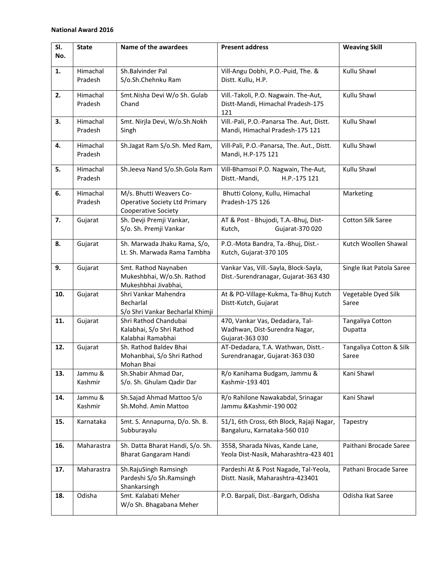| SI. | <b>State</b>       | Name of the awardees                                             | <b>Present address</b>                                                        | <b>Weaving Skill</b>     |
|-----|--------------------|------------------------------------------------------------------|-------------------------------------------------------------------------------|--------------------------|
| No. |                    |                                                                  |                                                                               |                          |
| 1.  | Himachal           | Sh.Balvinder Pal                                                 | Vill-Angu Dobhi, P.O.-Puid, The. &                                            | Kullu Shawl              |
|     | Pradesh            | S/o.Sh.Chehnku Ram                                               | Distt. Kullu, H.P.                                                            |                          |
| 2.  | Himachal           | Smt.Nisha Devi W/o Sh. Gulab                                     | Vill.-Takoli, P.O. Nagwain. The-Aut,                                          | Kullu Shawl              |
|     | Pradesh            | Chand                                                            | Distt-Mandi, Himachal Pradesh-175                                             |                          |
| 3.  | Himachal           | Smt. Nirjla Devi, W/o.Sh.Nokh                                    | 121<br>Vill.-Pali, P.O.-Panarsa The. Aut, Distt.                              | Kullu Shawl              |
|     | Pradesh            | Singh                                                            | Mandi, Himachal Pradesh-175 121                                               |                          |
| 4.  | Himachal           | Sh.Jagat Ram S/o.Sh. Med Ram,                                    | Vill-Pali, P.O.-Panarsa, The. Aut., Distt.                                    | Kullu Shawl              |
|     | Pradesh            |                                                                  | Mandi, H.P-175 121                                                            |                          |
| 5.  | Himachal           | Sh.Jeeva Nand S/o.Sh.Gola Ram                                    | Vill-Bhamsoi P.O. Nagwain, The-Aut,                                           | Kullu Shawl              |
|     | Pradesh            |                                                                  | Distt.-Mandi,<br>H.P.-175 121                                                 |                          |
| 6.  | Himachal           | M/s. Bhutti Weavers Co-                                          | Bhutti Colony, Kullu, Himachal                                                | Marketing                |
|     | Pradesh            | <b>Operative Society Ltd Primary</b>                             | Pradesh-175 126                                                               |                          |
|     |                    | Cooperative Society                                              |                                                                               |                          |
| 7.  | Gujarat            | Sh. Devji Premji Vankar,                                         | AT & Post - Bhujodi, T.A.-Bhuj, Dist-                                         | <b>Cotton Silk Saree</b> |
|     |                    | S/o. Sh. Premji Vankar                                           | Kutch,<br>Gujarat-370 020                                                     |                          |
| 8.  | Gujarat            | Sh. Marwada Jhaku Rama, S/o,                                     | P.O.-Mota Bandra, Ta.-Bhuj, Dist.-                                            | Kutch Woollen Shawal     |
|     |                    | Lt. Sh. Marwada Rama Tambha                                      | Kutch, Gujarat-370 105                                                        |                          |
|     |                    |                                                                  |                                                                               |                          |
| 9.  | Gujarat            | Smt. Rathod Naynaben<br>Mukeshbhai, W/o.Sh. Rathod               | Vankar Vas, Vill.-Sayla, Block-Sayla,<br>Dist.-Surendranagar, Gujarat-363 430 | Single Ikat Patola Saree |
|     |                    | Mukeshbhai Jivabhai,                                             |                                                                               |                          |
| 10. | Gujarat            | Shri Vankar Mahendra                                             | At & PO-Village-Kukma, Ta-Bhuj Kutch                                          | Vegetable Dyed Silk      |
|     |                    | Becharlal                                                        | Distt-Kutch, Gujarat                                                          | Saree                    |
|     |                    | S/o Shri Vankar Becharlal Khimji                                 |                                                                               |                          |
| 11. | Gujarat            | Shri Rathod Chandubai                                            | 470, Vankar Vas, Dedadara, Tal-                                               | Tangaliya Cotton         |
|     |                    | Kalabhai, S/o Shri Rathod                                        | Wadhwan, Dist-Surendra Nagar,                                                 | Dupatta                  |
|     |                    | Kalabhai Ramabhai                                                | Gujarat-363 030                                                               |                          |
| 12. | Gujarat            | Sh. Rathod Baldev Bhai                                           | AT-Dedadara, T.A. Wathwan, Distt.-                                            | Tangaliya Cotton & Silk  |
|     |                    | Mohanbhai, S/o Shri Rathod                                       | Surendranagar, Gujarat-363 030                                                | Saree                    |
|     |                    | Mohan Bhai                                                       |                                                                               |                          |
| 13. | Jammu &<br>Kashmir | Sh.Shabir Ahmad Dar,<br>S/o. Sh. Ghulam Qadir Dar                | R/o Kanihama Budgam, Jammu &<br>Kashmir-193 401                               | Kani Shawl               |
|     |                    |                                                                  |                                                                               |                          |
| 14. | Jammu &            | Sh.Sajad Ahmad Mattoo S/o                                        | R/o Rahilone Nawakabdal, Srinagar                                             | Kani Shawl               |
|     | Kashmir            | Sh.Mohd. Amin Mattoo                                             | Jammu & Kashmir-190 002                                                       |                          |
| 15. | Karnataka          | Smt. S. Annapurna, D/o. Sh. B.                                   | 51/1, 6th Cross, 6th Block, Rajaji Nagar,                                     | Tapestry                 |
|     |                    | Subburayalu                                                      | Bangaluru, Karnataka-560 010                                                  |                          |
| 16. | Maharastra         |                                                                  | 3558, Sharada Nivas, Kande Lane,                                              | Paithani Brocade Saree   |
|     |                    | Sh. Datta Bharat Handi, S/o. Sh.<br><b>Bharat Gangaram Handi</b> | Yeola Dist-Nasik, Maharashtra-423 401                                         |                          |
|     |                    |                                                                  |                                                                               |                          |
| 17. | Maharastra         | Sh.RajuSingh Ramsingh                                            | Pardeshi At & Post Nagade, Tal-Yeola,                                         | Pathani Brocade Saree    |
|     |                    | Pardeshi S/o Sh.Ramsingh                                         | Distt. Nasik, Maharashtra-423401                                              |                          |
|     |                    | Shankarsingh                                                     |                                                                               |                          |
| 18. | Odisha             | Smt. Kalabati Meher                                              | P.O. Barpali, Dist.-Bargarh, Odisha                                           | Odisha Ikat Saree        |
|     |                    | W/o Sh. Bhagabana Meher                                          |                                                                               |                          |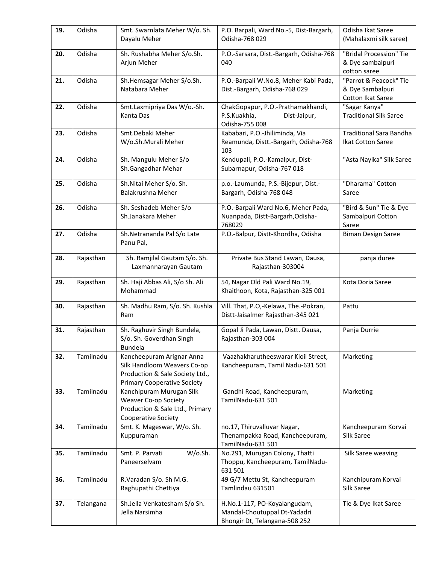| 19. | Odisha    | Smt. Swarnlata Meher W/o. Sh.<br>Dayalu Meher                                                                                     | P.O. Barpali, Ward No.-5, Dist-Bargarh,<br>Odisha-768 029                                     | Odisha Ikat Saree<br>(Mahalaxmi silk saree)                     |
|-----|-----------|-----------------------------------------------------------------------------------------------------------------------------------|-----------------------------------------------------------------------------------------------|-----------------------------------------------------------------|
| 20. | Odisha    | Sh. Rushabha Meher S/o.Sh.<br>Arjun Meher                                                                                         | P.O.-Sarsara, Dist.-Bargarh, Odisha-768<br>040                                                | "Bridal Procession" Tie<br>& Dye sambalpuri<br>cotton saree     |
| 21. | Odisha    | Sh.Hemsagar Meher S/o.Sh.<br>Natabara Meher                                                                                       | P.O.-Barpali W.No.8, Meher Kabi Pada,<br>Dist.-Bargarh, Odisha-768 029                        | "Parrot & Peacock" Tie<br>& Dye Sambalpuri<br>Cotton Ikat Saree |
| 22. | Odisha    | Smt.Laxmipriya Das W/o.-Sh.<br>Kanta Das                                                                                          | ChakGopapur, P.O.-Prathamakhandi,<br>P.S.Kuakhia,<br>Dist-Jaipur,<br>Odisha-755 008           | "Sagar Kanya"<br><b>Traditional Silk Saree</b>                  |
| 23. | Odisha    | Smt.Debaki Meher<br>W/o.Sh.Murali Meher                                                                                           | Kababari, P.O.-Jhiliminda, Via<br>Reamunda, Distt.-Bargarh, Odisha-768<br>103                 | <b>Traditional Sara Bandha</b><br>Ikat Cotton Saree             |
| 24. | Odisha    | Sh. Mangulu Meher S/o<br>Sh.Gangadhar Mehar                                                                                       | Kendupali, P.O.-Kamalpur, Dist-<br>Subarnapur, Odisha-767 018                                 | "Asta Nayika" Silk Saree                                        |
| 25. | Odisha    | Sh.Nitai Meher S/o. Sh.<br>Balakrushna Meher                                                                                      | p.o.-Laumunda, P.S.-Bijepur, Dist.-<br>Bargarh, Odisha-768 048                                | "Dharama" Cotton<br>Saree                                       |
| 26. | Odisha    | Sh. Seshadeb Meher S/o<br>Sh.Janakara Meher                                                                                       | P.O.-Barpali Ward No.6, Meher Pada,<br>Nuanpada, Distt-Bargarh, Odisha-<br>768029             | "Bird & Sun" Tie & Dye<br>Sambalpuri Cotton<br>Saree            |
| 27. | Odisha    | Sh.Netrananda Pal S/o Late<br>Panu Pal,                                                                                           | P.O.-Balpur, Distt-Khordha, Odisha                                                            | <b>Biman Design Saree</b>                                       |
| 28. | Rajasthan | Sh. Ramjilal Gautam S/o. Sh.<br>Laxmannarayan Gautam                                                                              | Private Bus Stand Lawan, Dausa,<br>Rajasthan-303004                                           | panja duree                                                     |
| 29. | Rajasthan | Sh. Haji Abbas Ali, S/o Sh. Ali<br>Mohammad                                                                                       | 54, Nagar Old Pali Ward No.19,<br>Khaithoon, Kota, Rajasthan-325 001                          | Kota Doria Saree                                                |
| 30. | Rajasthan | Sh. Madhu Ram, S/o. Sh. Kushla<br>Ram                                                                                             | Vill. That, P.O,-Kelawa, The.-Pokran,<br>Distt-Jaisalmer Rajasthan-345 021                    | Pattu                                                           |
| 31. | Rajasthan | Sh. Raghuvir Singh Bundela,<br>S/o. Sh. Goverdhan Singh<br><b>Bundela</b>                                                         | Gopal Ji Pada, Lawan, Distt. Dausa,<br>Rajasthan-303 004                                      | Panja Durrie                                                    |
| 32. | Tamilnadu | Kancheepuram Arignar Anna<br>Silk Handloom Weavers Co-op<br>Production & Sale Society Ltd.,<br><b>Primary Cooperative Society</b> | Vaazhakharutheeswarar Kloil Street,<br>Kancheepuram, Tamil Nadu-631 501                       | Marketing                                                       |
| 33. | Tamilnadu | Kanchipuram Murugan Silk<br>Weaver Co-op Society<br>Production & Sale Ltd., Primary<br>Cooperative Society                        | Gandhi Road, Kancheepuram,<br>TamilNadu-631 501                                               | Marketing                                                       |
| 34. | Tamilnadu | Smt. K. Mageswar, W/o. Sh.<br>Kuppuraman                                                                                          | no.17, Thiruvalluvar Nagar,<br>Thenampakka Road, Kancheepuram,<br>TamilNadu-631 501           | Kancheepuram Korvai<br>Silk Saree                               |
| 35. | Tamilnadu | W/o.Sh.<br>Smt. P. Parvati<br>Paneerselvam                                                                                        | No.291, Murugan Colony, Thatti<br>Thoppu, Kancheepuram, TamilNadu-<br>631 501                 | Silk Saree weaving                                              |
| 36. | Tamilnadu | R.Varadan S/o. Sh M.G.<br>Raghupathi Chettiya                                                                                     | 49 G/7 Mettu St, Kancheepuram<br>Tamlindau 631501                                             | Kanchipuram Korvai<br>Silk Saree                                |
| 37. | Telangana | Sh.Jella Venkatesham S/o Sh.<br>Jella Narsimha                                                                                    | H.No.1-117, PO-Koyalangudam,<br>Mandal-Choutuppal Dt-Yadadri<br>Bhongir Dt, Telangana-508 252 | Tie & Dye Ikat Saree                                            |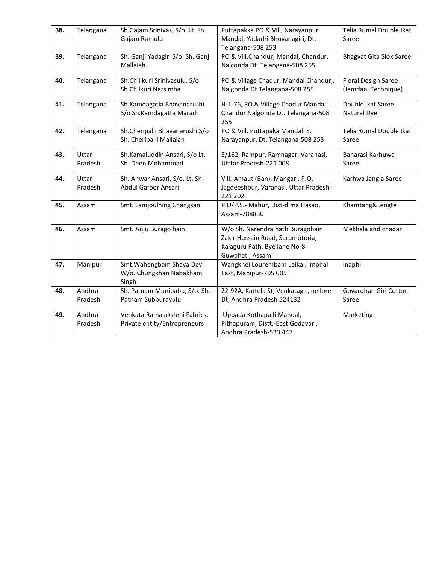| 38. | Telangana         | Sh.Gajam Srinivas, S/o. Lt. Sh.<br>Gajam Ramulu               | Puttapakka PO & Vill, Narayanpur<br>Mandal, Yadadri Bhuvanagiri, Dt,                                                    | Telia Rumal Double Ikat<br>Saree           |
|-----|-------------------|---------------------------------------------------------------|-------------------------------------------------------------------------------------------------------------------------|--------------------------------------------|
| 39. | Telangana         | Sh. Ganji Yadagiri S/o. Sh. Ganji<br>Mallaiah                 | Telangana-508 253<br>PO & Vill.Chandur, Mandal, Chandur,<br>Nalconda Dt. Telangana-508 255                              | <b>Bhagvat Gita Slok Saree</b>             |
| 40. | Telangana         | Sh.Chillkuri Srinivasulu, S/o<br>Sh.Chilkuri Narsimha         | PO & Village Chadur, Mandal Chandur,,<br>Nalgonda Dt Telangana-508 255                                                  | Floral Design Saree<br>(Jamdani Technique) |
| 41. | Telangana         | Sh.Kamdagatla Bhavanarushi<br>S/o Sh.Kamdagatta Mararh        | H-1-76, PO & Village Chadur Mandal<br>Chandur Nalgonda Dt. Telangana-508<br>255                                         | Double Ikat Saree<br>Natural Dye           |
| 42. | Telangana         | Sh.Cheripalli Bhavanarushi S/o<br>Sh. Cheripalli Mallaiah     | PO & Vill. Puttapaka Mandal: S.<br>Narayanpur, Dt. Telangana-508 253                                                    | Telia Rumal Double Ikat<br>Saree           |
| 43. | Uttar<br>Pradesh  | Sh.Kamaluddin Ansari, S/o Lt.<br>Sh. Deen Mohammad            | 3/162, Rampur, Ramnagar, Varanasi,<br>Utttar Pradesh-221 008                                                            | Banarasi Karhuwa<br>Saree                  |
| 44. | Uttar<br>Pradesh  | Sh. Anwar Ansari, S/o. Lt. Sh.<br>Abdul Gafoor Ansari         | Vill.-Amaut (Ban), Mangari, P.O.-<br>Jagdeeshpur, Varanasi, Uttar Pradesh-<br>221 202                                   | Karhwa Jangla Saree                        |
| 45. | Assam             | Smt. Lamjoulhing Changsan                                     | P.O/P.S.- Mahur, Dist-dima Hasao,<br>Assam-788830                                                                       | Khamtang&Lengte                            |
| 46. | Assam             | Smt. Anju Burago hain                                         | W/o Sh. Narendra nath Buragohain<br>Zakir Hussain Road, Sarumotoria,<br>Kalaguru Path, Bye lane No-8<br>Guwahati, Assam | Mekhala and chadar                         |
| 47. | Manipur           | Smt. Wahengbam Shaya Devi<br>W/o. Chungkhan Nabakham<br>Singh | Wangkhei Lourembam Leikai, Imphal<br>East, Manipur-795 005                                                              | Inaphi                                     |
| 48. | Andhra<br>Pradesh | Sh. Patnam Munibabu, S/o. Sh.<br>Patnam Subburayulu           | 22-92A, Kattela St, Venkatagir, nellore<br>Dt, Andhra Pradesh 524132                                                    | Govardhan Giri Cotton<br>Saree             |
| 49. | Andhra<br>Pradesh | Venkata Ramalakshmi Fabrics,<br>Private entity/Entrepreneurs  | Uppada Kothapalli Mandal,<br>Pithapuram, Distt.-East Godavari,<br>Andhra Pradesh-533 447                                | Marketing                                  |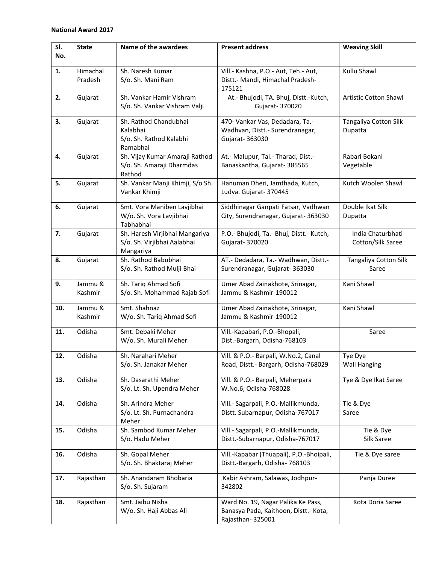| SI. | <b>State</b> | Name of the awardees                       | <b>Present address</b>                             | <b>Weaving Skill</b>         |
|-----|--------------|--------------------------------------------|----------------------------------------------------|------------------------------|
| No. |              |                                            |                                                    |                              |
| 1.  | Himachal     | Sh. Naresh Kumar                           | Vill.- Kashna, P.O.- Aut, Teh.- Aut,               | Kullu Shawl                  |
|     | Pradesh      | S/o. Sh. Mani Ram                          | Distt.- Mandi, Himachal Pradesh-                   |                              |
|     |              |                                            | 175121                                             |                              |
| 2.  | Gujarat      | Sh. Vankar Hamir Vishram                   | At.- Bhujodi, TA. Bhuj, Distt.-Kutch,              | <b>Artistic Cotton Shawl</b> |
|     |              | S/o. Sh. Vankar Vishram Valji              | Gujarat- 370020                                    |                              |
|     |              |                                            |                                                    |                              |
| 3.  | Gujarat      | Sh. Rathod Chandubhai<br>Kalabhai          | 470- Vankar Vas, Dedadara, Ta.-                    | Tangaliya Cotton Silk        |
|     |              | S/o. Sh. Rathod Kalabhi                    | Wadhvan, Distt.- Surendranagar,<br>Gujarat- 363030 | Dupatta                      |
|     |              | Ramabhai                                   |                                                    |                              |
| 4.  | Gujarat      | Sh. Vijay Kumar Amaraji Rathod             | At.- Malupur, Tal.- Tharad, Dist.-                 | Rabari Bokani                |
|     |              | S/o. Sh. Amaraji Dharmdas                  | Banaskantha, Gujarat- 385565                       | Vegetable                    |
|     |              | Rathod                                     |                                                    |                              |
| 5.  | Gujarat      | Sh. Vankar Manji Khimji, S/o Sh.           | Hanuman Dheri, Jamthada, Kutch,                    | Kutch Woolen Shawl           |
|     |              | Vankar Khimji                              | Ludva. Gujarat- 370445                             |                              |
| 6.  | Gujarat      | Smt. Vora Maniben Lavjibhai                | Siddhinagar Ganpati Fatsar, Vadhwan                | Double Ikat Silk             |
|     |              | W/o. Sh. Vora Lavjibhai                    | City, Surendranagar, Gujarat- 363030               | Dupatta                      |
|     |              | Tabhabhai                                  |                                                    |                              |
| 7.  | Gujarat      | Sh. Haresh Virjibhai Mangariya             | P.O.- Bhujodi, Ta.- Bhuj, Distt.- Kutch,           | India Chaturbhati            |
|     |              | S/o. Sh. Virjibhai Aalabhai                | Gujarat- 370020                                    | Cotton/Silk Saree            |
|     |              | Mangariya                                  |                                                    |                              |
| 8.  | Gujarat      | Sh. Rathod Babubhai                        | AT.- Dedadara, Ta.- Wadhwan, Distt.-               | Tangaliya Cotton Silk        |
|     |              | S/o. Sh. Rathod Mulji Bhai                 | Surendranagar, Gujarat- 363030                     | Saree                        |
| 9.  | Jammu &      | Sh. Tariq Ahmad Sofi                       | Umer Abad Zainakhote, Srinagar,                    | Kani Shawl                   |
|     | Kashmir      | S/o. Sh. Mohammad Rajab Sofi               | Jammu & Kashmir-190012                             |                              |
| 10. | Jammu &      | Smt. Shahnaz                               | Umer Abad Zainakhote, Srinagar,                    | Kani Shawl                   |
|     | Kashmir      | W/o. Sh. Tariq Ahmad Sofi                  | Jammu & Kashmir-190012                             |                              |
|     |              |                                            |                                                    |                              |
| 11. | Odisha       | Smt. Debaki Meher                          | Vill.-Kapabari, P.O.-Bhopali,                      | Saree                        |
|     |              | W/o. Sh. Murali Meher                      | Dist.-Bargarh, Odisha-768103                       |                              |
| 12. | Odisha       | Sh. Narahari Meher                         | Vill. & P.O.- Barpali, W.No.2, Canal               | Tye Dye                      |
|     |              | S/o. Sh. Janakar Meher                     | Road, Distt.- Bargarh, Odisha-768029               | <b>Wall Hanging</b>          |
|     |              |                                            |                                                    |                              |
| 13. | Odisha       | Sh. Dasarathi Meher                        | Vill. & P.O.- Barpali, Meherpara                   | Tye & Dye Ikat Saree         |
|     |              | S/o. Lt. Sh. Upendra Meher                 | W.No.6, Odisha-768028                              |                              |
| 14. | Odisha       | Sh. Arindra Meher                          | Vill.- Sagarpali, P.O.-Mallikmunda,                | Tie & Dye                    |
|     |              | S/o. Lt. Sh. Purnachandra                  | Distt. Subarnapur, Odisha-767017                   | Saree                        |
|     |              | Meher                                      |                                                    |                              |
| 15. | Odisha       | Sh. Sambod Kumar Meher                     | Vill.- Sagarpali, P.O.-Mallikmunda,                | Tie & Dye                    |
|     |              | S/o. Hadu Meher                            | Distt.-Subarnapur, Odisha-767017                   | Silk Saree                   |
| 16. | Odisha       | Sh. Gopal Meher                            | Vill.-Kapabar (Thuapali), P.O.-Bhoipali,           | Tie & Dye saree              |
|     |              | S/o. Sh. Bhaktaraj Meher                   | Distt.-Bargarh, Odisha- 768103                     |                              |
|     |              |                                            |                                                    |                              |
| 17. | Rajasthan    | Sh. Anandaram Bhobaria<br>S/o. Sh. Sujaram | Kabir Ashram, Salawas, Jodhpur-<br>342802          | Panja Duree                  |
|     |              |                                            |                                                    |                              |
| 18. | Rajasthan    | Smt. Jaibu Nisha                           | Ward No. 19, Nagar Palika Ke Pass,                 | Kota Doria Saree             |
|     |              | W/o. Sh. Haji Abbas Ali                    | Banasya Pada, Kaithoon, Distt.- Kota,              |                              |
|     |              |                                            | Rajasthan-325001                                   |                              |